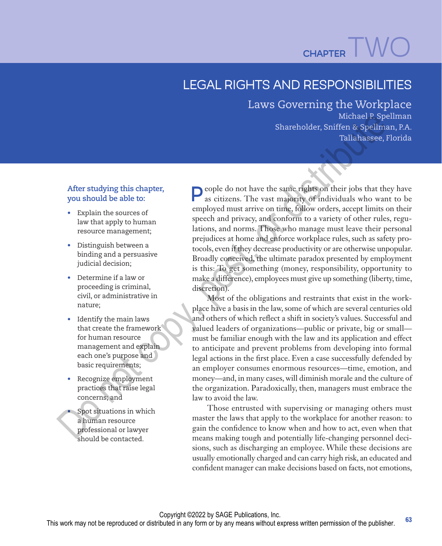# **CHAPTER**

# LEGAL RIGHTS AND RESPONSIBILITIES

Laws Governing the Workplace

Michael P. Spellman Shareholder, Sniffen & Spellman, P.A. Tallahassee, Florida

## **After studying this chapter, you should be able to:**

- Explain the sources of law that apply to human resource management;
- Distinguish between a binding and a persuasive judicial decision;
- Determine if a law or proceeding is criminal, civil, or administrative in nature;
- Identify the main laws that create the framework for human resource management and explain each one's purpose and basic requirements;
- Recognize employment practices that raise legal concerns; and
- Spot situations in which a human resource professional or lawyer should be contacted.

People do not have the same rights on their jobs that they have as citizens. The vast majority of individuals who want to be employed must arrive on time, follow orders, accept limits on their speech and privacy, and conform to a variety of other rules, regulations, and norms. Those who manage must leave their personal prejudices at home and enforce workplace rules, such as safety protocols, even if they decrease productivity or are otherwise unpopular. Broadly conceived, the ultimate paradox presented by employment is this: To get something (money, responsibility, opportunity to make a difference), employees must give up something (liberty, time, discretion).  $\label{eq:20}$   $\begin{tabular}{p{0.8cm}} \hline & Sharcholder, Sinfrahed, SinfRen's de the U\\ \hline \end{tabular} where studying this chapter, \begin{tabular}{p{0.8cm}} \hline & Snircholder, SinfRen's de the U\\ \hline \end{tabular} where a number of other rules, a number of other rules, a number of other rules, a number of other rules, a number of other rules, a number of other rules, a number of other rules, a number of other rules, a number of other rules, a number of other rules, a number of other rules, a number of other rules, a number of other rules, a number of other rules, a number of other rules, a number of other rules, a number of other rules, a number of other rules, a number of other elements are not possible,$ 

Most of the obligations and restraints that exist in the workplace have a basis in the law, some of which are several centuries old and others of which reflect a shift in society's values. Successful and valued leaders of organizations—public or private, big or small must be familiar enough with the law and its application and effect to anticipate and prevent problems from developing into formal legal actions in the first place. Even a case successfully defended by an employer consumes enormous resources—time, emotion, and money—and, in many cases, will diminish morale and the culture of the organization. Paradoxically, then, managers must embrace the law to avoid the law.

Those entrusted with supervising or managing others must master the laws that apply to the workplace for another reason: to gain the confidence to know when and how to act, even when that means making tough and potentially life-changing personnel decisions, such as discharging an employee. While these decisions are usually emotionally charged and can carry high risk, an educated and confident manager can make decisions based on facts, not emotions,

**63**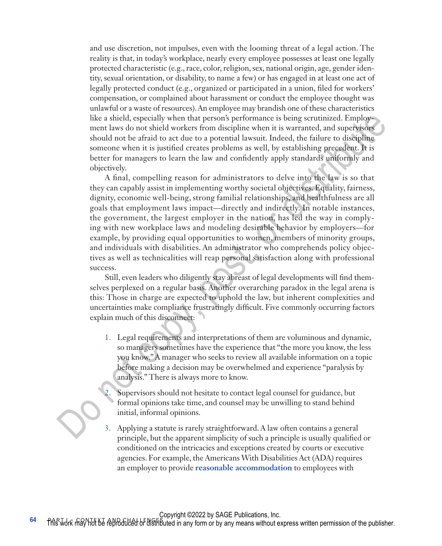and use discretion, not impulses, even with the looming threat of a legal action. The reality is that, in today's workplace, nearly every employee possesses at least one legally protected characteristic (e.g., race, color, religion, sex, national origin, age, gender identity, sexual orientation, or disability, to name a few) or has engaged in at least one act of legally protected conduct (e.g., organized or participated in a union, filed for workers' compensation, or complained about harassment or conduct the employee thought was unlawful or a waste of resources). An employee may brandish one of these characteristics like a shield, especially when that person's performance is being scrutinized. Employment laws do not shield workers from discipline when it is warranted, and supervisors should not be afraid to act due to a potential lawsuit. Indeed, the failure to discipline someone when it is justified creates problems as well, by establishing precedent. It is better for managers to learn the law and confidently apply standards uniformly and objectively.

A final, compelling reason for administrators to delve into the law is so that they can capably assist in implementing worthy societal objectives. Equality, fairness, dignity, economic well-being, strong familial relationships, and healthfulness are all goals that employment laws impact—directly and indirectly. In notable instances, the government, the largest employer in the nation, has led the way in complying with new workplace laws and modeling desirable behavior by employers—for example, by providing equal opportunities to women, members of minority groups, and individuals with disabilities. An administrator who comprehends policy objectives as well as technicalities will reap personal satisfaction along with professional success. like a shield, especiality when that persons performance is being serutinized. Employ-<br>ment laws do not shield workers from discipline when it is warranted, and superpensity<br>ment laws do not beinfud to act due to a potenti

Still, even leaders who diligently stay abreast of legal developments will find themselves perplexed on a regular basis. Another overarching paradox in the legal arena is this: Those in charge are expected to uphold the law, but inherent complexities and uncertainties make compliance frustratingly difficult. Five commonly occurring factors explain much of this disconnect:

- 1. Legal requirements and interpretations of them are voluminous and dynamic, so managers sometimes have the experience that "the more you know, the less you know." A manager who seeks to review all available information on a topic before making a decision may be overwhelmed and experience "paralysis by analysis." There is always more to know.
	- Supervisors should not hesitate to contact legal counsel for guidance, but formal opinions take time, and counsel may be unwilling to stand behind initial, informal opinions.
- 3. Applying a statute is rarely straightforward. A law often contains a general principle, but the apparent simplicity of such a principle is usually qualified or conditioned on the intricacies and exceptions created by courts or executive agencies. For example, the Americans With Disabilities Act (ADA) requires an employer to provide **reasonable accommodation** to employees with

64 **PART** or the Superior of the position of the USE of the CHALLET CHALLET CHARLET THE CHARLET CHARLET THE PUBLISHER Copyright ©2022 by SAGE Publications, Inc.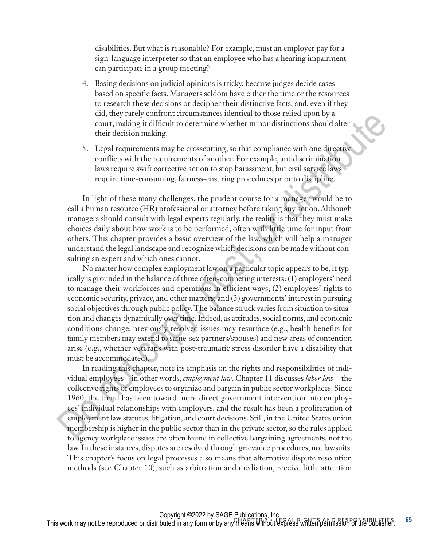disabilities. But what is reasonable? For example, must an employer pay for a sign-language interpreter so that an employee who has a hearing impairment can participate in a group meeting?

- 4. Basing decisions on judicial opinions is tricky, because judges decide cases based on specific facts. Managers seldom have either the time or the resources to research these decisions or decipher their distinctive facts; and, even if they did, they rarely confront circumstances identical to those relied upon by a court, making it difficult to determine whether minor distinctions should alter their decision making.
- 5. Legal requirements may be crosscutting, so that compliance with one directive conflicts with the requirements of another. For example, antidiscrimination laws require swift corrective action to stop harassment, but civil service laws require time-consuming, fairness-ensuring procedures prior to discipline.

In light of these many challenges, the prudent course for a manager would be to call a human resource (HR) professional or attorney before taking any action. Although managers should consult with legal experts regularly, the reality is that they must make choices daily about how work is to be performed, often with little time for input from others. This chapter provides a basic overview of the law, which will help a manager understand the legal landscape and recognize which decisions can be made without consulting an expert and which ones cannot.

No matter how complex employment law on a particular topic appears to be, it typically is grounded in the balance of three often-competing interests: (1) employers' need to manage their workforces and operations in efficient ways; (2) employees' rights to economic security, privacy, and other matters; and (3) governments' interest in pursuing social objectives through public policy. The balance struck varies from situation to situation and changes dynamically over time. Indeed, as attitudes, social norms, and economic conditions change, previously resolved issues may resurface (e.g., health benefits for family members may extend to same-sex partners/spouses) and new areas of contention arise (e.g., whether veterans with post-traumatic stress disorder have a disability that must be accommodated). on, vey rarely comon continuous<br>nearest control in the Uniteral upon to the control in the complexies of<br>earth and control in the properties of a small control in the properties<br>of the requirements of another. For example

In reading this chapter, note its emphasis on the rights and responsibilities of individual employees—in other words, *employment law*. Chapter 11 discusses *labor law*—the collective rights of employees to organize and bargain in public sector workplaces. Since 1960, the trend has been toward more direct government intervention into employees' individual relationships with employers, and the result has been a proliferation of employment law statutes, litigation, and court decisions. Still, in the United States union membership is higher in the public sector than in the private sector, so the rules applied to agency workplace issues are often found in collective bargaining agreements, not the law. In these instances, disputes are resolved through grievance procedures, not lawsuits. This chapter's focus on legal processes also means that alternative dispute resolution methods (see Chapter 10), such as arbitration and mediation, receive little attention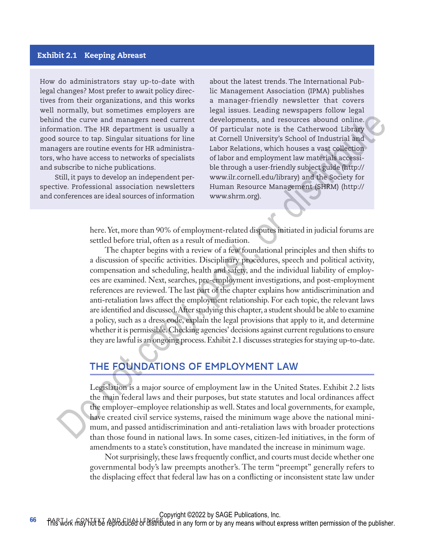#### Exhibit 2.1 Keeping Abreast

How do administrators stay up-to-date with legal changes? Most prefer to await policy directives from their organizations, and this works well normally, but sometimes employers are behind the curve and managers need current information. The HR department is usually a good source to tap. Singular situations for line managers are routine events for HR administrators, who have access to networks of specialists and subscribe to niche publications.

Still, it pays to develop an independent perspective. Professional association newsletters and conferences are ideal sources of information

about the latest trends. The International Public Management Association (IPMA) publishes a manager-friendly newsletter that covers legal issues. Leading newspapers follow legal developments, and resources abound online. Of particular note is the Catherwood Library at Cornell University's School of Industrial and Labor Relations, which houses a vast collection of labor and employment law materials accessible through a user-friendly subject guide (http:// www.ilr.cornell.edu/library) and the Society for Human Resource Management (SHRM) (http:// www.shrm.org).

here. Yet, more than 90% of employment-related disputes initiated in judicial forums are settled before trial, often as a result of mediation.

The chapter begins with a review of a few foundational principles and then shifts to a discussion of specific activities. Disciplinary procedures, speech and political activity, compensation and scheduling, health and safety, and the individual liability of employees are examined. Next, searches, pre-employment investigations, and post-employment references are reviewed. The last part of the chapter explains how antidiscrimination and anti-retaliation laws affect the employment relationship. For each topic, the relevant laws are identified and discussed. After studying this chapter, a student should be able to examine a policy, such as a dress code, explain the legal provisions that apply to it, and determine whether it is permissible. Checking agencies' decisions against current regulations to ensure they are lawful is an ongoing process. Exhibit 2.1 discusses strategies for staying up-to-date. and the curve and managers need current<br>
mathem at wellopments, and resources abound online,<br>
mathem on the HR department is usually a Of particular note is the Catherwood Library<br>
source to the Shaparlar situations for l

# **THE FOUNDATIONS OF EMPLOYMENT LAW**

Legislation is a major source of employment law in the United States. Exhibit 2.2 lists the main federal laws and their purposes, but state statutes and local ordinances affect the employer–employee relationship as well. States and local governments, for example, have created civil service systems, raised the minimum wage above the national minimum, and passed antidiscrimination and anti-retaliation laws with broader protections than those found in national laws. In some cases, citizen-led initiatives, in the form of amendments to a state's constitution, have mandated the increase in minimum wage.

Not surprisingly, these laws frequently conflict, and courts must decide whether one governmental body's law preempts another's. The term "preempt" generally refers to the displacing effect that federal law has on a conflicting or inconsistent state law under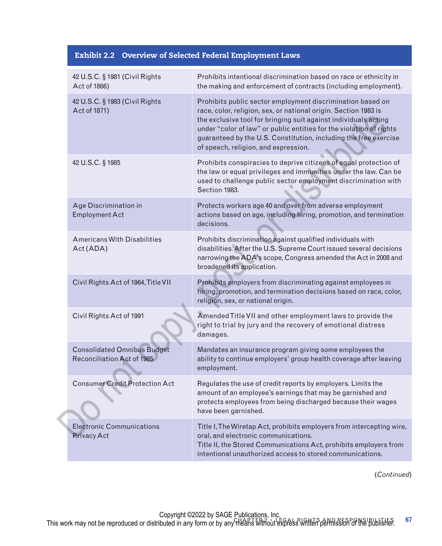## Exhibit 2.2 Overview of Selected Federal Employment Laws

| 42 U.S.C. § 1981 (Civil Rights<br>Prohibits intentional discrimination based on race or ethnicity in<br>Act of 1866)<br>the making and enforcement of contracts (including employment).<br>42 U.S.C. § 1983 (Civil Rights<br>Prohibits public sector employment discrimination based on<br>Act of 1871)<br>race, color, religion, sex, or national origin. Section 1983 is<br>the exclusive tool for bringing suit against individuals acting<br>under "color of law" or public entities for the violation of rights<br>guaranteed by the U.S. Constitution, including the free exercise |  |
|------------------------------------------------------------------------------------------------------------------------------------------------------------------------------------------------------------------------------------------------------------------------------------------------------------------------------------------------------------------------------------------------------------------------------------------------------------------------------------------------------------------------------------------------------------------------------------------|--|
|                                                                                                                                                                                                                                                                                                                                                                                                                                                                                                                                                                                          |  |
| of speech, religion, and expression.                                                                                                                                                                                                                                                                                                                                                                                                                                                                                                                                                     |  |
| 42 U.S.C. § 1985<br>Prohibits conspiracies to deprive citizens of equal protection of<br>the law or equal privileges and immunities under the law. Can be<br>used to challenge public sector employment discrimination with<br>Section 1983.                                                                                                                                                                                                                                                                                                                                             |  |
| Protects workers age 40 and over from adverse employment<br>Age Discrimination in<br><b>Employment Act</b><br>actions based on age, including hiring, promotion, and termination<br>decisions.                                                                                                                                                                                                                                                                                                                                                                                           |  |
| <b>Americans With Disabilities</b><br>Prohibits discrimination against qualified individuals with<br>disabilities. After the U.S. Supreme Court issued several decisions<br>Act (ADA)<br>narrowing the ADA's scope, Congress amended the Act in 2008 and<br>broadened its application.                                                                                                                                                                                                                                                                                                   |  |
| Civil Rights Act of 1964, Title VII<br>Prohibits employers from discriminating against employees in<br>hiring, promotion, and termination decisions based on race, color,<br>religion, sex, or national origin.                                                                                                                                                                                                                                                                                                                                                                          |  |
| Civil Rights Act of 1991<br>Amended Title VII and other employment laws to provide the<br>right to trial by jury and the recovery of emotional distress<br>damages.                                                                                                                                                                                                                                                                                                                                                                                                                      |  |
| <b>Consolidated Omnibus Budget</b><br>Mandates an insurance program giving some employees the<br>Reconciliation Act of 1985<br>ability to continue employers' group health coverage after leaving<br>employment.                                                                                                                                                                                                                                                                                                                                                                         |  |
| <b>Consumer Credit Protection Act</b><br>Regulates the use of credit reports by employers. Limits the<br>amount of an employee's earnings that may be garnished and<br>protects employees from being discharged because their wages<br>have been garnished.                                                                                                                                                                                                                                                                                                                              |  |
| <b>Electronic Communications</b><br>Title I, The Wiretap Act, prohibits employers from intercepting wire,<br><b>Privacy Act</b><br>oral, and electronic communications.<br>Title II, the Stored Communications Act, prohibits employers from<br>intentional unauthorized access to stored communications.                                                                                                                                                                                                                                                                                |  |

(*Continued*)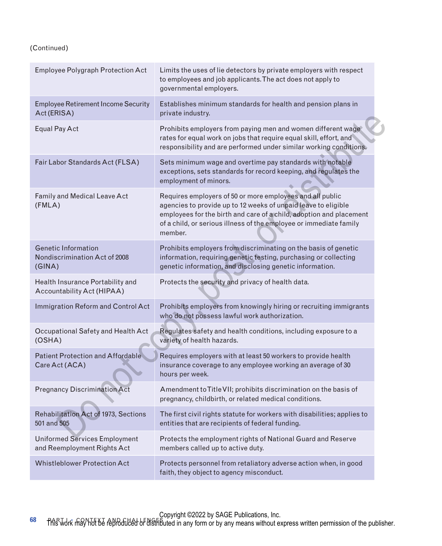#### (Continued)

| <b>Employee Polygraph Protection Act</b>                              | Limits the uses of lie detectors by private employers with respect<br>to employees and job applicants. The act does not apply to<br>governmental employers.                                                                                                                         |
|-----------------------------------------------------------------------|-------------------------------------------------------------------------------------------------------------------------------------------------------------------------------------------------------------------------------------------------------------------------------------|
| <b>Employee Retirement Income Security</b><br>Act (ERISA)             | Establishes minimum standards for health and pension plans in<br>private industry.                                                                                                                                                                                                  |
| <b>Equal Pay Act</b>                                                  | Prohibits employers from paying men and women different wage<br>rates for equal work on jobs that require equal skill, effort, and<br>responsibility and are performed under similar working conditions.                                                                            |
| Fair Labor Standards Act (FLSA)                                       | Sets minimum wage and overtime pay standards with notable<br>exceptions, sets standards for record keeping, and regulates the<br>employment of minors.                                                                                                                              |
| Family and Medical Leave Act<br>(FMLA)                                | Requires employers of 50 or more employees and all public<br>agencies to provide up to 12 weeks of unpaid leave to eligible<br>employees for the birth and care of a child, adoption and placement<br>of a child, or serious illness of the employee or immediate family<br>member. |
| <b>Genetic Information</b><br>Nondiscrimination Act of 2008<br>(GINA) | Prohibits employers from discriminating on the basis of genetic<br>information, requiring genetic testing, purchasing or collecting<br>genetic information, and disclosing genetic information.                                                                                     |
| Health Insurance Portability and<br>Accountability Act (HIPAA)        | Protects the security and privacy of health data.                                                                                                                                                                                                                                   |
| Immigration Reform and Control Act                                    | Prohibits employers from knowingly hiring or recruiting immigrants<br>who do not possess lawful work authorization.                                                                                                                                                                 |
| Occupational Safety and Health Act<br>(OSHA)                          | Regulates safety and health conditions, including exposure to a<br>variety of health hazards.                                                                                                                                                                                       |
| Patient Protection and Affordable<br>Care Act (ACA)                   | Requires employers with at least 50 workers to provide health<br>insurance coverage to any employee working an average of 30<br>hours per week.                                                                                                                                     |
| <b>Pregnancy Discrimination Act</b>                                   | Amendment to Title VII; prohibits discrimination on the basis of<br>pregnancy, childbirth, or related medical conditions.                                                                                                                                                           |
| Rehabilitation Act of 1973, Sections<br>501 and 505                   | The first civil rights statute for workers with disabilities; applies to<br>entities that are recipients of federal funding.                                                                                                                                                        |
| <b>Uniformed Services Employment</b><br>and Reemployment Rights Act   | Protects the employment rights of National Guard and Reserve<br>members called up to active duty.                                                                                                                                                                                   |
| <b>Whistleblower Protection Act</b>                                   | Protects personnel from retaliatory adverse action when, in good<br>faith, they object to agency misconduct.                                                                                                                                                                        |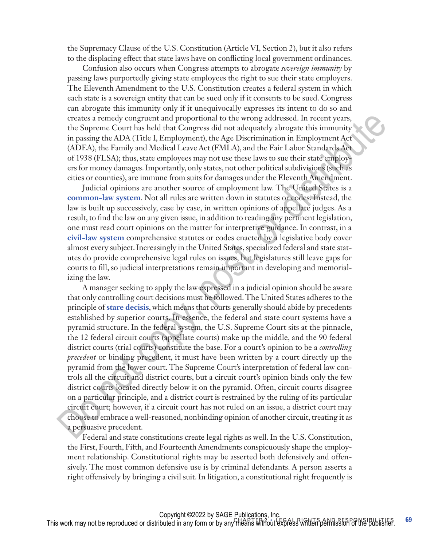the Supremacy Clause of the U.S. Constitution (Article VI, Section 2), but it also refers to the displacing effect that state laws have on conflicting local government ordinances.

Confusion also occurs when Congress attempts to abrogate *sovereign immunity* by passing laws purportedly giving state employees the right to sue their state employers. The Eleventh Amendment to the U.S. Constitution creates a federal system in which each state is a sovereign entity that can be sued only if it consents to be sued. Congress can abrogate this immunity only if it unequivocally expresses its intent to do so and creates a remedy congruent and proportional to the wrong addressed. In recent years, the Supreme Court has held that Congress did not adequately abrogate this immunity in passing the ADA (Title I, Employment), the Age Discrimination in Employment Act (ADEA), the Family and Medical Leave Act (FMLA), and the Fair Labor Standards Act of 1938 (FLSA); thus, state employees may not use these laws to sue their state employers for money damages. Importantly, only states, not other political subdivisions (such as cities or counties), are immune from suits for damages under the Eleventh Amendment.

Judicial opinions are another source of employment law. The United States is a **common-law system**. Not all rules are written down in statutes or codes. Instead, the law is built up successively, case by case, in written opinions of appellate judges. As a result, to find the law on any given issue, in addition to reading any pertinent legislation, one must read court opinions on the matter for interpretive guidance. In contrast, in a **civil-law system** comprehensive statutes or codes enacted by a legislative body cover almost every subject. Increasingly in the United States, specialized federal and state statutes do provide comprehensive legal rules on issues, but legislatures still leave gaps for courts to fill, so judicial interpretations remain important in developing and memorializing the law.

A manager seeking to apply the law expressed in a judicial opinion should be aware that only controlling court decisions must be followed. The United States adheres to the principle of **stare decisis**, which means that courts generally should abide by precedents established by superior courts. In essence, the federal and state court systems have a pyramid structure. In the federal system, the U.S. Supreme Court sits at the pinnacle, the 12 federal circuit courts (appellate courts) make up the middle, and the 90 federal district courts (trial courts) constitute the base. For a court's opinion to be a *controlling precedent* or binding precedent, it must have been written by a court directly up the pyramid from the lower court. The Supreme Court's interpretation of federal law controls all the circuit and district courts, but a circuit court's opinion binds only the few district courts located directly below it on the pyramid. Often, circuit courts disagree on a particular principle, and a district court is restrained by the ruling of its particular circuit court; however, if a circuit court has not ruled on an issue, a district court may choose to embrace a well-reasoned, nonbinding opinion of another circuit, treating it as a persuasive precedent. creates a remedy congruent and proportional to the wong addets<br>sed. In recent years, or different and the simple sympath is immunity<br>in passing the ADA (Tide I, Employment), the Age Discrimination in Employment Act<br>(NDFA)

Federal and state constitutions create legal rights as well. In the U.S. Constitution, the First, Fourth, Fifth, and Fourteenth Amendments conspicuously shape the employment relationship. Constitutional rights may be asserted both defensively and offensively. The most common defensive use is by criminal defendants. A person asserts a right offensively by bringing a civil suit. In litigation, a constitutional right frequently is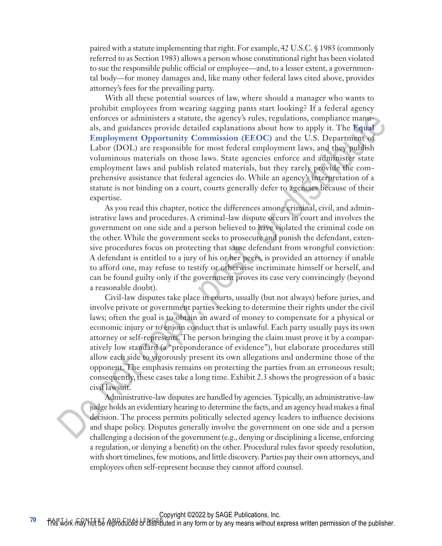paired with a statute implementing that right. For example, 42 U.S.C. § 1983 (commonly referred to as Section 1983) allows a person whose constitutional right has been violated to sue the responsible public official or employee—and, to a lesser extent, a governmental body—for money damages and, like many other federal laws cited above, provides attorney's fees for the prevailing party.

With all these potential sources of law, where should a manager who wants to prohibit employees from wearing sagging pants start looking? If a federal agency enforces or administers a statute, the agency's rules, regulations, compliance manuals, and guidances provide detailed explanations about how to apply it. The **Equal Employment Opportunity Commission (EEOC)** and the U.S. Department of Labor (DOL) are responsible for most federal employment laws, and they publish voluminous materials on those laws. State agencies enforce and administer state employment laws and publish related materials, but they rarely provide the comprehensive assistance that federal agencies do. While an agency's interpretation of a statute is not binding on a court, courts generally defer to agencies because of their expertise.

As you read this chapter, notice the differences among criminal, civil, and administrative laws and procedures. A criminal-law dispute occurs in court and involves the government on one side and a person believed to have violated the criminal code on the other. While the government seeks to prosecute and punish the defendant, extensive procedures focus on protecting that same defendant from wrongful conviction: A defendant is entitled to a jury of his or her peers, is provided an attorney if unable to afford one, may refuse to testify or otherwise incriminate himself or herself, and can be found guilty only if the government proves its case very convincingly (beyond a reasonable doubt).

Civil-law disputes take place in courts, usually (but not always) before juries, and involve private or government parties seeking to determine their rights under the civil laws; often the goal is to obtain an award of money to compensate for a physical or economic injury or to enjoin conduct that is unlawful. Each party usually pays its own attorney or self-represents. The person bringing the claim must prove it by a comparatively low standard (a "preponderance of evidence"), but elaborate procedures still allow each side to vigorously present its own allegations and undermine those of the opponent. The emphasis remains on protecting the parties from an erroneous result; consequently, these cases take a long time. Exhibit 2.3 shows the progression of a basic civil lawsuit. enforces or administers a statute, the agency's rules, regularions, complinee manu-<br>inducement and administers are and administer and also and how to apply it. The Equal<br>Imployment Opportunity Commission (EEOC) and the U.

Administrative-law disputes are handled by agencies. Typically, an administrative-law judge holds an evidentiary hearing to determine the facts, and an agency head makes a final decision. The process permits politically selected agency leaders to influence decisions and shape policy. Disputes generally involve the government on one side and a person challenging a decision of the government (e.g., denying or disciplining a license, enforcing a regulation, or denying a benefit) on the other. Procedural rules favor speedy resolution, with short timelines, few motions, and little discovery. Parties pay their own attorneys, and employees often self-represent because they cannot afford counsel.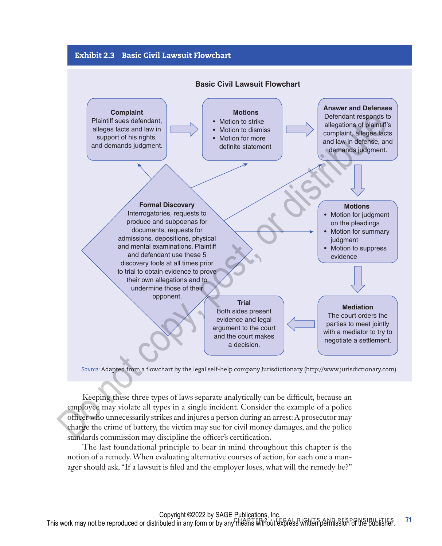#### Exhibit 2.3 Basic Civil Lawsuit Flowchart



#### *Source:* Adapted from a flowchart by the legal self-help company Jurisdictionary (http://www.jurisdictionary.com).

Keeping these three types of laws separate analytically can be difficult, because an employee may violate all types in a single incident. Consider the example of a police officer who unnecessarily strikes and injures a person during an arrest: A prosecutor may charge the crime of battery, the victim may sue for civil money damages, and the police standards commission may discipline the officer's certification.

The last foundational principle to bear in mind throughout this chapter is the notion of a remedy. When evaluating alternative courses of action, for each one a manager should ask, "If a lawsuit is filed and the employer loses, what will the remedy be?"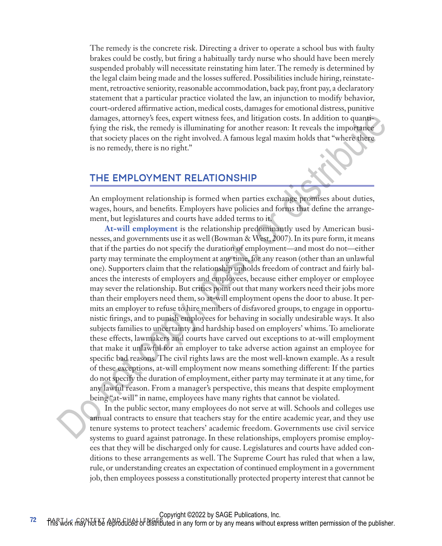The remedy is the concrete risk. Directing a driver to operate a school bus with faulty brakes could be costly, but firing a habitually tardy nurse who should have been merely suspended probably will necessitate reinstating him later. The remedy is determined by the legal claim being made and the losses suffered. Possibilities include hiring, reinstatement, retroactive seniority, reasonable accommodation, back pay, front pay, a declaratory statement that a particular practice violated the law, an injunction to modify behavior, court-ordered affirmative action, medical costs, damages for emotional distress, punitive damages, attorney's fees, expert witness fees, and litigation costs. In addition to quantifying the risk, the remedy is illuminating for another reason: It reveals the importance that society places on the right involved. A famous legal maxim holds that "where there is no remedy, there is no right."

## **THE EMPLOYMENT RELATIONSHIP**

An employment relationship is formed when parties exchange promises about duties, wages, hours, and benefits. Employers have policies and forms that define the arrangement, but legislatures and courts have added terms to it.

**At-will employment** is the relationship predominantly used by American businesses, and governments use it as well (Bowman & West, 2007). In its pure form, it means that if the parties do not specify the duration of employment—and most do not—either party may terminate the employment at any time, for any reason (other than an unlawful one). Supporters claim that the relationship upholds freedom of contract and fairly balances the interests of employers and employees, because either employer or employee may sever the relationship. But critics point out that many workers need their jobs more than their employers need them, so at-will employment opens the door to abuse. It permits an employer to refuse to hire members of disfavored groups, to engage in opportunistic firings, and to punish employees for behaving in socially undesirable ways. It also subjects families to uncertainty and hardship based on employers' whims. To ameliorate these effects, lawmakers and courts have carved out exceptions to at-will employment that make it unlawful for an employer to take adverse action against an employee for specific bad reasons. The civil rights laws are the most well-known example. As a result of these exceptions, at-will employment now means something different: If the parties do not specify the duration of employment, either party may terminate it at any time, for any lawful reason. From a manager's perspective, this means that despite employment being "at-will" in name, employees have many rights that cannot be violated. damages, atomoy's fees, expert vimeas fees, and litigation costs. In addition to quanti-<br>tying the risk, the remedy is illuminating for another reason: It receals the importance<br>for a society places on the right involved.

In the public sector, many employees do not serve at will. Schools and colleges use annual contracts to ensure that teachers stay for the entire academic year, and they use tenure systems to protect teachers' academic freedom. Governments use civil service systems to guard against patronage. In these relationships, employers promise employees that they will be discharged only for cause. Legislatures and courts have added conditions to these arrangements as well. The Supreme Court has ruled that when a law, rule, or understanding creates an expectation of continued employment in a government job, then employees possess a constitutionally protected property interest that cannot be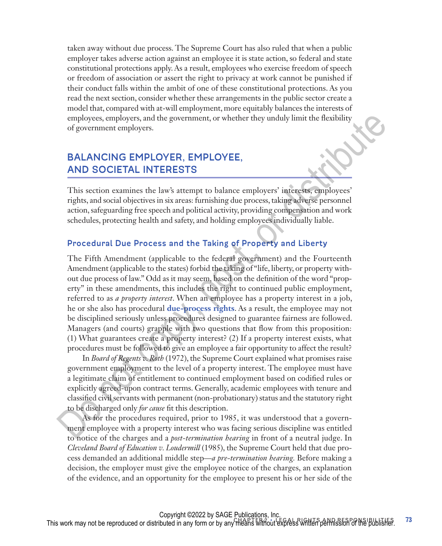taken away without due process. The Supreme Court has also ruled that when a public employer takes adverse action against an employee it is state action, so federal and state constitutional protections apply. As a result, employees who exercise freedom of speech or freedom of association or assert the right to privacy at work cannot be punished if their conduct falls within the ambit of one of these constitutional protections. As you read the next section, consider whether these arrangements in the public sector create a model that, compared with at-will employment, more equitably balances the interests of employees, employers, and the government, or whether they unduly limit the flexibility of government employers.

## **BALANCING EMPLOYER, EMPLOYEE, AND SOCIETAL INTERESTS**

This section examines the law's attempt to balance employers' interests, employees' rights, and social objectives in six areas: furnishing due process, taking adverse personnel action, safeguarding free speech and political activity, providing compensation and work schedules, protecting health and safety, and holding employees individually liable.

#### **Procedural Due Process and the Taking of Property and Liberty**

The Fifth Amendment (applicable to the federal government) and the Fourteenth Amendment (applicable to the states) forbid the taking of "life, liberty, or property without due process of law." Odd as it may seem, based on the definition of the word "property" in these amendments, this includes the right to continued public employment, referred to as *a property interest*. When an employee has a property interest in a job, he or she also has procedural **due-process rights**. As a result, the employee may not be disciplined seriously unless procedures designed to guarantee fairness are followed. Managers (and courts) grapple with two questions that flow from this proposition: (1) What guarantees create a property interest? (2) If a property interest exists, what procedures must be followed to give an employee a fair opportunity to affect the result? employees, employers, and the government, or whether they unduly limit the flexibility<br>of government employers.<br>
BALANCING EMPLOYER, EMPLOYEE,<br>
AND SOCIETAL INTERESTS<br>
This section examines the law's attempt to balance em

In *Board of Regents v. Roth* (1972), the Supreme Court explained what promises raise government employment to the level of a property interest. The employee must have a legitimate claim of entitlement to continued employment based on codified rules or explicitly agreed-upon contract terms. Generally, academic employees with tenure and classified civil servants with permanent (non-probationary) status and the statutory right to be discharged only *for cause* fit this description.

As for the procedures required, prior to 1985, it was understood that a government employee with a property interest who was facing serious discipline was entitled to notice of the charges and a *post-termination hearing* in front of a neutral judge. In *Cleveland Board of Education v. Loudermill* (1985), the Supreme Court held that due process demanded an additional middle step—*a pre-termination hearing.* Before making a decision, the employer must give the employee notice of the charges, an explanation of the evidence, and an opportunity for the employee to present his or her side of the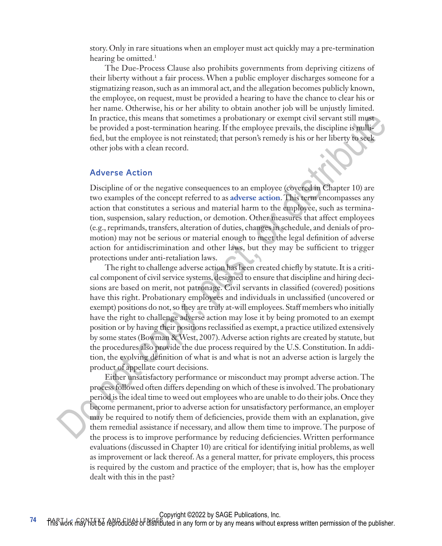story. Only in rare situations when an employer must act quickly may a pre-termination hearing be omitted.<sup>1</sup>

The Due-Process Clause also prohibits governments from depriving citizens of their liberty without a fair process. When a public employer discharges someone for a stigmatizing reason, such as an immoral act, and the allegation becomes publicly known, the employee, on request, must be provided a hearing to have the chance to clear his or her name. Otherwise, his or her ability to obtain another job will be unjustly limited. In practice, this means that sometimes a probationary or exempt civil servant still must be provided a post-termination hearing. If the employee prevails, the discipline is nullified, but the employee is not reinstated; that person's remedy is his or her liberty to seek other jobs with a clean record.

#### **Adverse Action**

Discipline of or the negative consequences to an employee (covered in Chapter 10) are two examples of the concept referred to as **adverse action**. This term encompasses any action that constitutes a serious and material harm to the employee, such as termination, suspension, salary reduction, or demotion. Other measures that affect employees (e.g., reprimands, transfers, alteration of duties, changes in schedule, and denials of promotion) may not be serious or material enough to meet the legal definition of adverse action for antidiscrimination and other laws, but they may be sufficient to trigger protections under anti-retaliation laws.

The right to challenge adverse action has been created chiefly by statute. It is a critical component of civil service systems, designed to ensure that discipline and hiring decisions are based on merit, not patronage. Civil servants in classified (covered) positions have this right. Probationary employees and individuals in unclassified (uncovered or exempt) positions do not, so they are truly at-will employees. Staff members who initially have the right to challenge adverse action may lose it by being promoted to an exempt position or by having their positions reclassified as exempt, a practice utilized extensively by some states (Bowman & West, 2007). Adverse action rights are created by statute, but the procedures also provide the due process required by the U.S. Constitution. In addition, the evolving definition of what is and what is not an adverse action is largely the product of appellate court decisions. In parciec, this means that some<br>imaging a probabionary or except civil servant still must<br>be provided a post-termination lenging. If the employee prevails, the discipline is null<br>field, but the employee is not reinstated

Either unsatisfactory performance or misconduct may prompt adverse action. The process followed often differs depending on which of these is involved. The probationary period is the ideal time to weed out employees who are unable to do their jobs. Once they become permanent, prior to adverse action for unsatisfactory performance, an employer may be required to notify them of deficiencies, provide them with an explanation, give them remedial assistance if necessary, and allow them time to improve. The purpose of the process is to improve performance by reducing deficiencies. Written performance evaluations (discussed in Chapter 10) are critical for identifying initial problems, as well as improvement or lack thereof. As a general matter, for private employers, this process is required by the custom and practice of the employer; that is, how has the employer dealt with this in the past?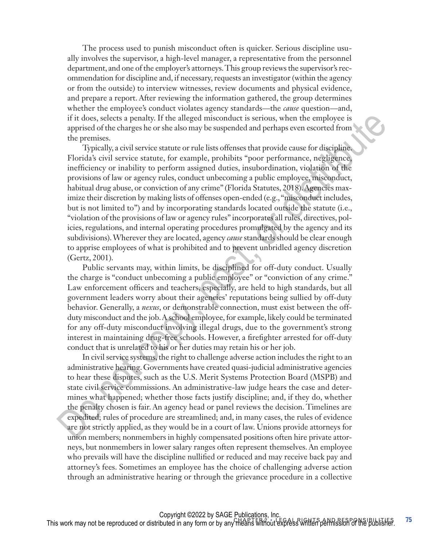The process used to punish misconduct often is quicker. Serious discipline usually involves the supervisor, a high-level manager, a representative from the personnel department, and one of the employer's attorneys. This group reviews the supervisor's recommendation for discipline and, if necessary, requests an investigator (within the agency or from the outside) to interview witnesses, review documents and physical evidence, and prepare a report. After reviewing the information gathered, the group determines whether the employee's conduct violates agency standards—the *cause* question—and, if it does, selects a penalty. If the alleged misconduct is serious, when the employee is apprised of the charges he or she also may be suspended and perhaps even escorted from the premises.

Typically, a civil service statute or rule lists offenses that provide cause for discipline. Florida's civil service statute, for example, prohibits "poor performance, negligence, inefficiency or inability to perform assigned duties, insubordination, violation of the provisions of law or agency rules, conduct unbecoming a public employee, misconduct, habitual drug abuse, or conviction of any crime" (Florida Statutes, 2018). Agencies maximize their discretion by making lists of offenses open-ended (e.g., "misconduct includes, but is not limited to") and by incorporating standards located outside the statute (i.e., "violation of the provisions of law or agency rules" incorporates all rules, directives, policies, regulations, and internal operating procedures promulgated by the agency and its subdivisions). Wherever they are located, agency *cause* standards should be clear enough to apprise employees of what is prohibited and to prevent unbridled agency discretion (Gertz, 2001). if it does, selects a penalty. If the alleged misconduct is serious, when the employee is a present of the cost, selects a three premises. The premises the premises that provide cause for distributed and the premises the

Public servants may, within limits, be disciplined for off-duty conduct. Usually the charge is "conduct unbecoming a public employee" or "conviction of any crime." Law enforcement officers and teachers, especially, are held to high standards, but all government leaders worry about their agencies' reputations being sullied by off-duty behavior. Generally, a *nexus*, or demonstrable connection, must exist between the offduty misconduct and the job. A school employee, for example, likely could be terminated for any off-duty misconduct involving illegal drugs, due to the government's strong interest in maintaining drug-free schools. However, a firefighter arrested for off-duty conduct that is unrelated to his or her duties may retain his or her job.

In civil service systems, the right to challenge adverse action includes the right to an administrative hearing. Governments have created quasi-judicial administrative agencies to hear these disputes, such as the U.S. Merit Systems Protection Board (MSPB) and state civil service commissions. An administrative-law judge hears the case and determines what happened; whether those facts justify discipline; and, if they do, whether the penalty chosen is fair. An agency head or panel reviews the decision. Timelines are expedited; rules of procedure are streamlined; and, in many cases, the rules of evidence are not strictly applied, as they would be in a court of law. Unions provide attorneys for union members; nonmembers in highly compensated positions often hire private attorneys, but nonmembers in lower salary ranges often represent themselves. An employee who prevails will have the discipline nullified or reduced and may receive back pay and attorney's fees. Sometimes an employee has the choice of challenging adverse action through an administrative hearing or through the grievance procedure in a collective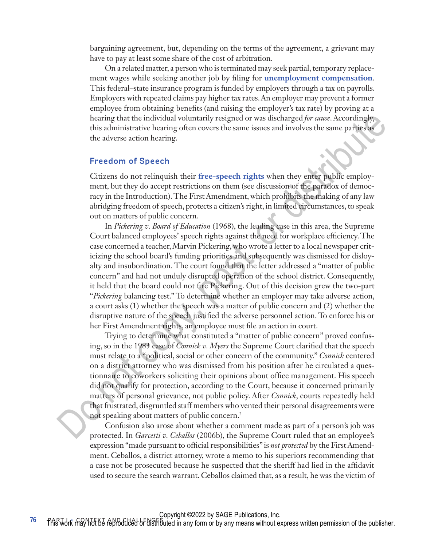bargaining agreement, but, depending on the terms of the agreement, a grievant may have to pay at least some share of the cost of arbitration.

On a related matter, a person who is terminated may seek partial, temporary replacement wages while seeking another job by filing for **unemployment compensation**. This federal–state insurance program is funded by employers through a tax on payrolls. Employers with repeated claims pay higher tax rates. An employer may prevent a former employee from obtaining benefits (and raising the employer's tax rate) by proving at a hearing that the individual voluntarily resigned or was discharged *for cause*. Accordingly, this administrative hearing often covers the same issues and involves the same parties as the adverse action hearing.

#### **Freedom of Speech**

Citizens do not relinquish their **free-speech rights** when they enter public employment, but they do accept restrictions on them (see discussion of the paradox of democracy in the Introduction). The First Amendment, which prohibits the making of any law abridging freedom of speech, protects a citizen's right, in limited circumstances, to speak out on matters of public concern.

In *Pickering v. Board of Education* (1968), the leading case in this area, the Supreme Court balanced employees' speech rights against the need for workplace efficiency. The case concerned a teacher, Marvin Pickering, who wrote a letter to a local newspaper criticizing the school board's funding priorities and subsequently was dismissed for disloyalty and insubordination. The court found that the letter addressed a "matter of public concern" and had not unduly disrupted operation of the school district. Consequently, it held that the board could not fire Pickering. Out of this decision grew the two-part "*Pickering* balancing test." To determine whether an employer may take adverse action, a court asks (1) whether the speech was a matter of public concern and (2) whether the disruptive nature of the speech justified the adverse personnel action. To enforce his or her First Amendment rights, an employee must file an action in court. hearing that the individual voluntarily resigned or was discharged for anse. Accordingly<br>this administrative hearing often covers the same issues and involves the same particle and<br>is administrative hearing often covers t

Trying to determine what constituted a "matter of public concern" proved confusing, so in the 1983 case of *Connick v. Myers* the Supreme Court clarified that the speech must relate to a "political, social or other concern of the community." *Connick* centered on a district attorney who was dismissed from his position after he circulated a questionnaire to coworkers soliciting their opinions about office management. His speech did not qualify for protection, according to the Court, because it concerned primarily matters of personal grievance, not public policy. After *Connick*, courts repeatedly held that frustrated, disgruntled staff members who vented their personal disagreements were not speaking about matters of public concern.<sup>2</sup>

Confusion also arose about whether a comment made as part of a person's job was protected. In *Garcetti v. Ceballos* (2006b), the Supreme Court ruled that an employee's expression "made pursuant to official responsibilities" is *not protected* by the First Amendment. Ceballos, a district attorney, wrote a memo to his superiors recommending that a case not be prosecuted because he suspected that the sheriff had lied in the affidavit used to secure the search warrant. Ceballos claimed that, as a result, he was the victim of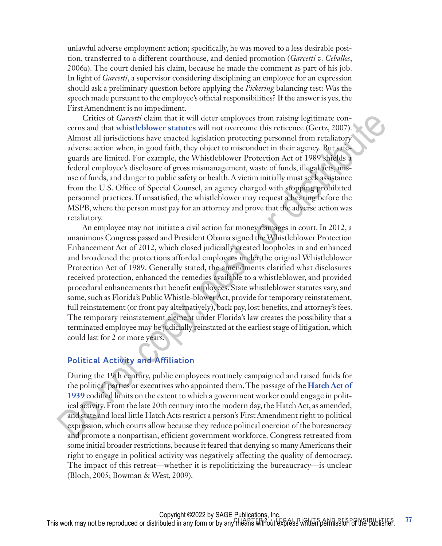unlawful adverse employment action; specifically, he was moved to a less desirable position, transferred to a different courthouse, and denied promotion (*Garcetti v. Ceballos*, 2006a). The court denied his claim, because he made the comment as part of his job. In light of *Garcetti*, a supervisor considering disciplining an employee for an expression should ask a preliminary question before applying the *Pickering* balancing test: Was the speech made pursuant to the employee's official responsibilities? If the answer is yes, the First Amendment is no impediment.

Critics of *Garcetti* claim that it will deter employees from raising legitimate concerns and that **whistleblower statutes** will not overcome this reticence (Gertz, 2007). Almost all jurisdictions have enacted legislation protecting personnel from retaliatory adverse action when, in good faith, they object to misconduct in their agency. But safeguards are limited. For example, the Whistleblower Protection Act of 1989 shields a federal employee's disclosure of gross mismanagement, waste of funds, illegal acts, misuse of funds, and danger to public safety or health. A victim initially must seek assistance from the U.S. Office of Special Counsel, an agency charged with stopping prohibited personnel practices. If unsatisfied, the whistleblower may request a hearing before the MSPB, where the person must pay for an attorney and prove that the adverse action was retaliatory.

An employee may not initiate a civil action for money damages in court. In 2012, a unanimous Congress passed and President Obama signed the Whistleblower Protection Enhancement Act of 2012, which closed judicially created loopholes in and enhanced and broadened the protections afforded employees under the original Whistleblower Protection Act of 1989. Generally stated, the amendments clarified what disclosures received protection, enhanced the remedies available to a whistleblower, and provided procedural enhancements that benefit employees. State whistleblower statutes vary, and some, such as Florida's Public Whistle-blower Act, provide for temporary reinstatement, full reinstatement (or front pay alternatively), back pay, lost benefits, and attorney's fees. The temporary reinstatement element under Florida's law creates the possibility that a terminated employee may be judicially reinstated at the earliest stage of litigation, which could last for 2 or more years. Critics of *Conerity* claim that it will deter employes from rasing legitimate con-<br>reres and that whistleblower statutes will not overcome this reisence (Gertz, 2007). Almost all jurisdictions have enacted legislation pr

## **Political Activity and Affiliation**

During the 19th century, public employees routinely campaigned and raised funds for the political parties or executives who appointed them. The passage of the **Hatch Act of 1939** codified limits on the extent to which a government worker could engage in political activity. From the late 20th century into the modern day, the Hatch Act, as amended, and state and local little Hatch Acts restrict a person's First Amendment right to political expression, which courts allow because they reduce political coercion of the bureaucracy and promote a nonpartisan, efficient government workforce. Congress retreated from some initial broader restrictions, because it feared that denying so many Americans their right to engage in political activity was negatively affecting the quality of democracy. The impact of this retreat—whether it is repoliticizing the bureaucracy—is unclear (Bloch, 2005; Bowman & West, 2009).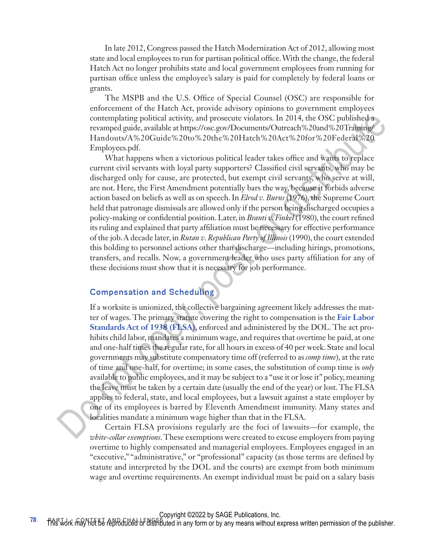In late 2012, Congress passed the Hatch Modernization Act of 2012, allowing most state and local employees to run for partisan political office. With the change, the federal Hatch Act no longer prohibits state and local government employees from running for partisan office unless the employee's salary is paid for completely by federal loans or grants.

The MSPB and the U.S. Office of Special Counsel (OSC) are responsible for enforcement of the Hatch Act, provide advisory opinions to government employees contemplating political activity, and prosecute violators. In 2014, the OSC published a revamped guide, available at https://osc.gov/Documents/Outreach%20and%20Training/ Handouts/A%20Guide%20to%20the%20Hatch%20Act%20for%20Federal%20 Employees.pdf.

What happens when a victorious political leader takes office and wants to replace current civil servants with loyal party supporters? Classified civil servants, who may be discharged only for cause, are protected, but exempt civil servants, who serve at will, are not. Here, the First Amendment potentially bars the way, because it forbids adverse action based on beliefs as well as on speech. In *Elrod v. Burns* (1976), the Supreme Court held that patronage dismissals are allowed only if the person being discharged occupies a policy-making or confidential position. Later, in *Branti v. Finkel* (1980), the court refined its ruling and explained that party affiliation must be necessary for effective performance of the job. A decade later, in *Rutan v. Republican Party of Illinois* (1990), the court extended this holding to personnel actions other than discharge—including hirings, promotions, transfers, and recalls. Now, a government leader who uses party affiliation for any of these decisions must show that it is necessary for job performance. contemptation activity, and procedure violations. In 2014, the OSC published and<br>notation activity, or distributed active search of the meaning of the<br>douts/A%20Guide%20to-%20the%20Her%20Her%20Her%20Federal%200 Employes,<br>

## **Compensation and Scheduling**

If a worksite is unionized, the collective bargaining agreement likely addresses the matter of wages. The primary statute covering the right to compensation is the **Fair Labor Standards Act of 1938 (FLSA)**, enforced and administered by the DOL. The act prohibits child labor, mandates a minimum wage, and requires that overtime be paid, at one and one-half times the regular rate, for all hours in excess of 40 per week. State and local governments may substitute compensatory time off (referred to as *comp time*), at the rate of time and one-half, for overtime; in some cases, the substitution of comp time is *only* available to public employees, and it may be subject to a "use it or lose it" policy, meaning the leave must be taken by a certain date (usually the end of the year) or lost. The FLSA applies to federal, state, and local employees, but a lawsuit against a state employer by one of its employees is barred by Eleventh Amendment immunity. Many states and localities mandate a minimum wage higher than that in the FLSA.

Certain FLSA provisions regularly are the foci of lawsuits—for example, the *white-collar exemptions*. These exemptions were created to excuse employers from paying overtime to highly compensated and managerial employees. Employees engaged in an "executive," "administrative," or "professional" capacity (as those terms are defined by statute and interpreted by the DOL and the courts) are exempt from both minimum wage and overtime requirements. An exempt individual must be paid on a salary basis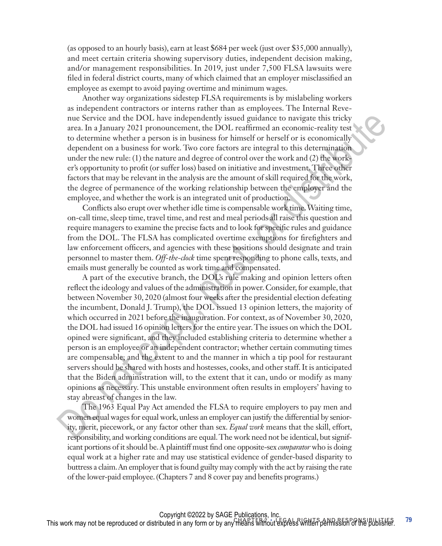(as opposed to an hourly basis), earn at least \$684 per week (just over \$35,000 annually), and meet certain criteria showing supervisory duties, independent decision making, and/or management responsibilities. In 2019, just under 7,500 FLSA lawsuits were filed in federal district courts, many of which claimed that an employer misclassified an employee as exempt to avoid paying overtime and minimum wages.

Another way organizations sidestep FLSA requirements is by mislabeling workers as independent contractors or interns rather than as employees. The Internal Revenue Service and the DOL have independently issued guidance to navigate this tricky area. In a January 2021 pronouncement, the DOL reaffirmed an economic-reality test to determine whether a person is in business for himself or herself or is economically dependent on a business for work. Two core factors are integral to this determination under the new rule: (1) the nature and degree of control over the work and (2) the worker's opportunity to profit (or suffer loss) based on initiative and investment. Three other factors that may be relevant in the analysis are the amount of skill required for the work, the degree of permanence of the working relationship between the employer and the employee, and whether the work is an integrated unit of production.

Conflicts also erupt over whether idle time is compensable work time. Waiting time, on-call time, sleep time, travel time, and rest and meal periods all raise this question and require managers to examine the precise facts and to look for specific rules and guidance from the DOL. The FLSA has complicated overtime exemptions for firefighters and law enforcement officers, and agencies with these positions should designate and train personnel to master them. *Off-the-clock* time spent responding to phone calls, texts, and emails must generally be counted as work time and compensated.

A part of the executive branch, the DOL's rule making and opinion letters often reflect the ideology and values of the administration in power. Consider, for example, that between November 30, 2020 (almost four weeks after the presidential election defeating the incumbent, Donald J. Trump), the DOL issued 13 opinion letters, the majority of which occurred in 2021 before the inauguration. For context, as of November 30, 2020, the DOL had issued 16 opinion letters for the entire year. The issues on which the DOL opined were significant, and they included establishing criteria to determine whether a person is an employee or an independent contractor; whether certain commuting times are compensable; and the extent to and the manner in which a tip pool for restaurant servers should be shared with hosts and hostesses, cooks, and other staff. It is anticipated that the Biden administration will, to the extent that it can, undo or modify as many opinions as necessary. This unstable environment often results in employers' having to stay abreast of changes in the law. nue Service and the DOL have independently is<br>sued guidance to navigate this tricky were accuraced measurement, the DOL readitmed an economic-reality test<br>to determine whether a person is in business for himself or hersel

The 1963 Equal Pay Act amended the FLSA to require employers to pay men and women equal wages for equal work, unless an employer can justify the differential by seniority, merit, piecework, or any factor other than sex. *Equal work* means that the skill, effort, responsibility, and working conditions are equal. The work need not be identical, but significant portions of it should be. A plaintiff must find one opposite-sex *comparator* who is doing equal work at a higher rate and may use statistical evidence of gender-based disparity to buttress a claim. An employer that is found guilty may comply with the act by raising the rate of the lower-paid employee. (Chapters 7 and 8 cover pay and benefits programs.)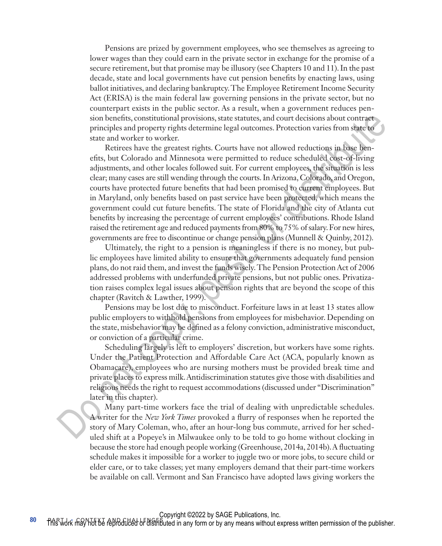Pensions are prized by government employees, who see themselves as agreeing to lower wages than they could earn in the private sector in exchange for the promise of a secure retirement, but that promise may be illusory (see Chapters 10 and 11). In the past decade, state and local governments have cut pension benefits by enacting laws, using ballot initiatives, and declaring bankruptcy. The Employee Retirement Income Security Act (ERISA) is the main federal law governing pensions in the private sector, but no counterpart exists in the public sector. As a result, when a government reduces pension benefits, constitutional provisions, state statutes, and court decisions about contract principles and property rights determine legal outcomes. Protection varies from state to state and worker to worker.

Retirees have the greatest rights. Courts have not allowed reductions in base benefits, but Colorado and Minnesota were permitted to reduce scheduled cost-of-living adjustments, and other locales followed suit. For current employees, the situation is less clear; many cases are still wending through the courts. In Arizona, Colorado, and Oregon, courts have protected future benefits that had been promised to current employees. But in Maryland, only benefits based on past service have been protected, which means the government could cut future benefits. The state of Florida and the city of Atlanta cut benefits by increasing the percentage of current employees' contributions. Rhode Island raised the retirement age and reduced payments from 80% to 75% of salary. For new hires, governments are free to discontinue or change pension plans (Munnell & Quinby, 2012). sion benefits, constitutional provisions, state statutes, and court decisions about contract<br>principles and property rights determine legal outcomes. Protection variet by<br>state and worker to worker.<br>Here share the greates

Ultimately, the right to a pension is meaningless if there is no money, but public employees have limited ability to ensure that governments adequately fund pension plans, do not raid them, and invest the funds wisely. The Pension Protection Act of 2006 addressed problems with underfunded private pensions, but not public ones. Privatization raises complex legal issues about pension rights that are beyond the scope of this chapter (Ravitch & Lawther, 1999).

Pensions may be lost due to misconduct. Forfeiture laws in at least 13 states allow public employers to withhold pensions from employees for misbehavior. Depending on the state, misbehavior may be defined as a felony conviction, administrative misconduct, or conviction of a particular crime.

Scheduling largely is left to employers' discretion, but workers have some rights. Under the Patient Protection and Affordable Care Act (ACA, popularly known as Obamacare), employees who are nursing mothers must be provided break time and private places to express milk. Antidiscrimination statutes give those with disabilities and religious needs the right to request accommodations (discussed under "Discrimination" later in this chapter).

Many part-time workers face the trial of dealing with unpredictable schedules. A writer for the *New York Times* provoked a flurry of responses when he reported the story of Mary Coleman, who, after an hour-long bus commute, arrived for her scheduled shift at a Popeye's in Milwaukee only to be told to go home without clocking in because the store had enough people working (Greenhouse, 2014a, 2014b). A fluctuating schedule makes it impossible for a worker to juggle two or more jobs, to secure child or elder care, or to take classes; yet many employers demand that their part-time workers be available on call. Vermont and San Francisco have adopted laws giving workers the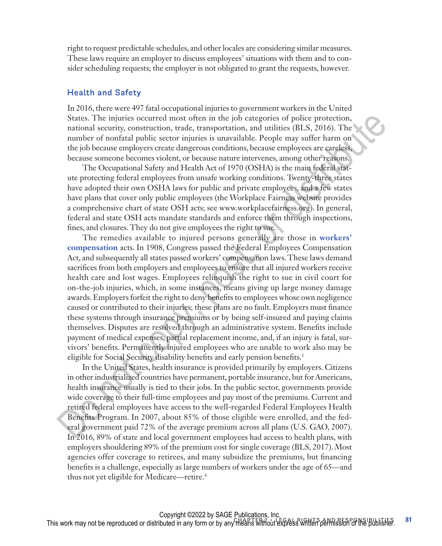right to request predictable schedules, and other locales are considering similar measures. These laws require an employer to discuss employees' situations with them and to consider scheduling requests; the employer is not obligated to grant the requests, however.

#### **Health and Safety**

In 2016, there were 497 fatal occupational injuries to government workers in the United States. The injuries occurred most often in the job categories of police protection, national security, construction, trade, transportation, and utilities (BLS, 2016). The number of nonfatal public sector injuries is unavailable. People may suffer harm on the job because employers create dangerous conditions, because employees are careless, because someone becomes violent, or because nature intervenes, among other reasons.

The Occupational Safety and Health Act of 1970 (OSHA) is the main federal statute protecting federal employees from unsafe working conditions. Twenty-three states have adopted their own OSHA laws for public and private employees, and a few states have plans that cover only public employees (the Workplace Fairness website provides a comprehensive chart of state OSH acts; see www.workplacefairness.org). In general, federal and state OSH acts mandate standards and enforce them through inspections, fines, and closures. They do not give employees the right to sue.

The remedies available to injured persons generally are those in **workers' compensation** acts. In 1908, Congress passed the Federal Employees Compensation Act, and subsequently all states passed workers' compensation laws. These laws demand sacrifices from both employers and employees to ensure that all injured workers receive health care and lost wages. Employees relinquish the right to sue in civil court for on-the-job injuries, which, in some instances, means giving up large money damage awards. Employers forfeit the right to deny benefits to employees whose own negligence caused or contributed to their injuries; these plans are no fault. Employers must finance these systems through insurance premiums or by being self-insured and paying claims themselves. Disputes are resolved through an administrative system. Benefits include payment of medical expenses, partial replacement income, and, if an injury is fatal, survivors' benefits. Permanently injured employees who are unable to work also may be eligible for Social Security disability benefits and early pension benefits.<sup>3</sup> States. The injuries occurred motos of other in the job categories of police protection, and attiliate (BILS, 2016). The number of nonfatal public sector injuries is unavailable. People may suffer harm on the job because

In the United States, health insurance is provided primarily by employers. Citizens in other industrialized countries have permanent, portable insurance, but for Americans, health insurance usually is tied to their jobs. In the public sector, governments provide wide coverage to their full-time employees and pay most of the premiums. Current and retired federal employees have access to the well-regarded Federal Employees Health Benefits Program. In 2007, about 85% of those eligible were enrolled, and the federal government paid 72% of the average premium across all plans (U.S. GAO, 2007). In 2016, 89% of state and local government employees had access to health plans, with employers shouldering 89% of the premium cost for single coverage (BLS, 2017). Most agencies offer coverage to retirees, and many subsidize the premiums, but financing benefits is a challenge, especially as large numbers of workers under the age of 65—and thus not yet eligible for Medicare—retire.4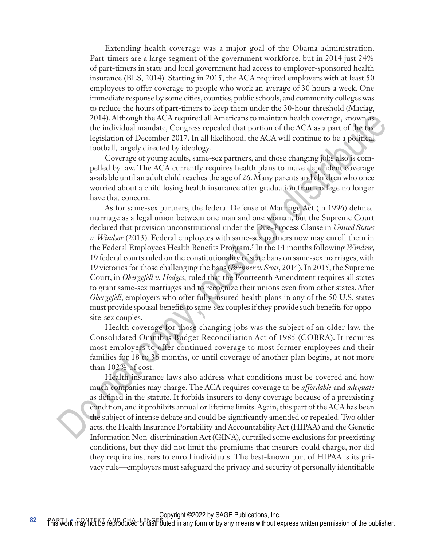Extending health coverage was a major goal of the Obama administration. Part-timers are a large segment of the government workforce, but in 2014 just 24% of part-timers in state and local government had access to employer-sponsored health insurance (BLS, 2014). Starting in 2015, the ACA required employers with at least 50 employees to offer coverage to people who work an average of 30 hours a week. One immediate response by some cities, counties, public schools, and community colleges was to reduce the hours of part-timers to keep them under the 30-hour threshold (Maciag, 2014). Although the ACA required all Americans to maintain health coverage, known as the individual mandate, Congress repealed that portion of the ACA as a part of the tax legislation of December 2017. In all likelihood, the ACA will continue to be a political football, largely directed by ideology.

Coverage of young adults, same-sex partners, and those changing jobs also is compelled by law. The ACA currently requires health plans to make dependent coverage available until an adult child reaches the age of 26. Many parents and children who once worried about a child losing health insurance after graduation from college no longer have that concern.

As for same-sex partners, the federal Defense of Marriage Act (in 1996) defined marriage as a legal union between one man and one woman, but the Supreme Court declared that provision unconstitutional under the Due-Process Clause in *United States v. Windsor* (2013). Federal employees with same-sex partners now may enroll them in the Federal Employees Health Benefits Program.5 In the 14 months following *Windsor*, 19 federal courts ruled on the constitutionality of state bans on same-sex marriages, with 19 victories for those challenging the bans (*Brenner v. Scott*, 2014). In 2015, the Supreme Court, in *Obergefell v. Hodges*, ruled that the Fourteenth Amendment requires all states to grant same-sex marriages and to recognize their unions even from other states. After *Obergefell*, employers who offer fully insured health plans in any of the 50 U.S. states must provide spousal benefits to same-sex couples if they provide such benefits for opposite-sex couples. 2014). Although the ACA required all Americans to maintain health coverage, knownas<br>
the individual mandate, Congress repealed that portion of the ACA was a part of the rate<br>
legislation of December 2017. In all likelihoo

Health coverage for those changing jobs was the subject of an older law, the Consolidated Omnibus Budget Reconciliation Act of 1985 (COBRA). It requires most employers to offer continued coverage to most former employees and their families for 18 to 36 months, or until coverage of another plan begins, at not more than 102% of cost.

Health insurance laws also address what conditions must be covered and how much companies may charge. The ACA requires coverage to be *affordable* and *adequate*  as defined in the statute. It forbids insurers to deny coverage because of a preexisting condition, and it prohibits annual or lifetime limits. Again, this part of the ACA has been the subject of intense debate and could be significantly amended or repealed. Two older acts, the Health Insurance Portability and Accountability Act (HIPAA) and the Genetic Information Non-discrimination Act (GINA), curtailed some exclusions for preexisting conditions, but they did not limit the premiums that insurers could charge, nor did they require insurers to enroll individuals. The best-known part of HIPAA is its privacy rule—employers must safeguard the privacy and security of personally identifiable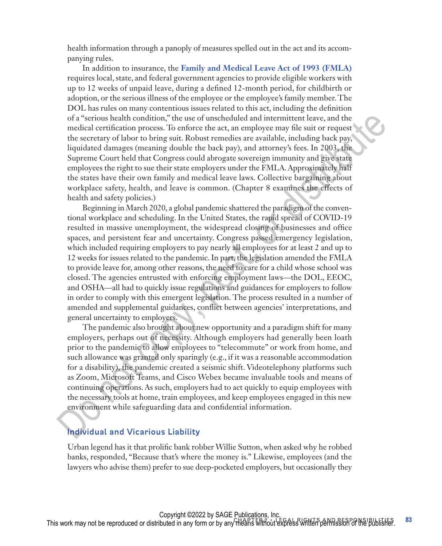health information through a panoply of measures spelled out in the act and its accompanying rules.

In addition to insurance, the **Family and Medical Leave Act of 1993 (FMLA)**  requires local, state, and federal government agencies to provide eligible workers with up to 12 weeks of unpaid leave, during a defined 12-month period, for childbirth or adoption, or the serious illness of the employee or the employee's family member. The DOL has rules on many contentious issues related to this act, including the definition of a "serious health condition," the use of unscheduled and intermittent leave, and the medical certification process. To enforce the act, an employee may file suit or request the secretary of labor to bring suit. Robust remedies are available, including back pay, liquidated damages (meaning double the back pay), and attorney's fees. In 2003, the Supreme Court held that Congress could abrogate sovereign immunity and give state employees the right to sue their state employers under the FMLA. Approximately half the states have their own family and medical leave laws. Collective bargaining about workplace safety, health, and leave is common. (Chapter 8 examines the effects of health and safety policies.)

Beginning in March 2020, a global pandemic shattered the paradigm of the conventional workplace and scheduling. In the United States, the rapid spread of COVID-19 resulted in massive unemployment, the widespread closing of businesses and office spaces, and persistent fear and uncertainty. Congress passed emergency legislation, which included requiring employers to pay nearly all employees for at least 2 and up to 12 weeks for issues related to the pandemic. In part, the legislation amended the FMLA to provide leave for, among other reasons, the need to care for a child whose school was closed. The agencies entrusted with enforcing employment laws—the DOL, EEOC, and OSHA—all had to quickly issue regulations and guidances for employers to follow in order to comply with this emergent legislation. The process resulted in a number of amended and supplemental guidances, conflict between agencies' interpretations, and general uncertainty to employers. of a "serious health condition," the use of unsthed<br>duchan internuiteral teare, and the consistent of the sectective and the<br>secretary of labor to bring suit. Robust remedies are available, including back pay,<br>inquidated

The pandemic also brought about new opportunity and a paradigm shift for many employers, perhaps out of necessity. Although employers had generally been loath prior to the pandemic to allow employees to "telecommute" or work from home, and such allowance was granted only sparingly (e.g., if it was a reasonable accommodation for a disability), the pandemic created a seismic shift. Videotelephony platforms such as Zoom, Microsoft Teams, and Cisco Webex became invaluable tools and means of continuing operations. As such, employers had to act quickly to equip employees with the necessary tools at home, train employees, and keep employees engaged in this new environment while safeguarding data and confidential information.

## **Individual and Vicarious Liability**

Urban legend has it that prolific bank robber Willie Sutton, when asked why he robbed banks, responded, "Because that's where the money is." Likewise, employees (and the lawyers who advise them) prefer to sue deep-pocketed employers, but occasionally they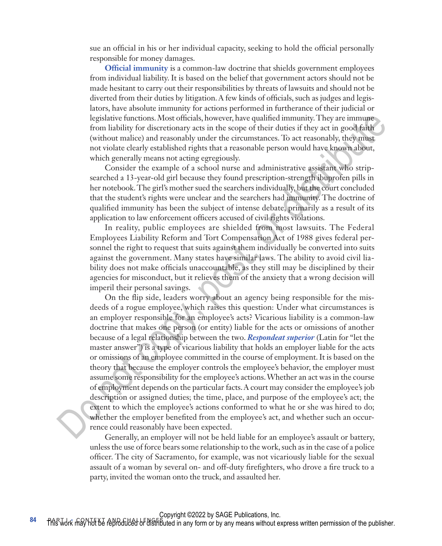sue an official in his or her individual capacity, seeking to hold the official personally responsible for money damages.

**Official immunity** is a common-law doctrine that shields government employees from individual liability. It is based on the belief that government actors should not be made hesitant to carry out their responsibilities by threats of lawsuits and should not be diverted from their duties by litigation. A few kinds of officials, such as judges and legislators, have absolute immunity for actions performed in furtherance of their judicial or legislative functions. Most officials, however, have qualified immunity. They are immune from liability for discretionary acts in the scope of their duties if they act in good faith (without malice) and reasonably under the circumstances. To act reasonably, they must not violate clearly established rights that a reasonable person would have known about, which generally means not acting egregiously.

Consider the example of a school nurse and administrative assistant who stripsearched a 13-year-old girl because they found prescription-strength ibuprofen pills in her notebook. The girl's mother sued the searchers individually, but the court concluded that the student's rights were unclear and the searchers had immunity. The doctrine of qualified immunity has been the subject of intense debate, primarily as a result of its application to law enforcement officers accused of civil rights violations.

In reality, public employees are shielded from most lawsuits. The Federal Employees Liability Reform and Tort Compensation Act of 1988 gives federal personnel the right to request that suits against them individually be converted into suits against the government. Many states have similar laws. The ability to avoid civil liability does not make officials unaccountable, as they still may be disciplined by their agencies for misconduct, but it relieves them of the anxiety that a wrong decision will imperil their personal savings.

On the flip side, leaders worry about an agency being responsible for the misdeeds of a rogue employee, which raises this question: Under what circumstances is an employer responsible for an employee's acts? Vicarious liability is a common-law doctrine that makes one person (or entity) liable for the acts or omissions of another because of a legal relationship between the two. *Respondeat superior* (Latin for "let the master answer") is a type of vicarious liability that holds an employer liable for the acts or omissions of an employee committed in the course of employment. It is based on the theory that because the employer controls the employee's behavior, the employer must assume some responsibility for the employee's actions. Whether an act was in the course of employment depends on the particular facts. A court may consider the employee's job description or assigned duties; the time, place, and purpose of the employee's act; the extent to which the employee's actions conformed to what he or she was hired to do; whether the employer benefited from the employee's act, and whether such an occurrence could reasonably have been expected. legistrice functions. More of<br>this however, have qualified immunity. They are immunity<br>(from liability for discretionary areas in the scope of their duries if they act in good)<br>faith (without malice) and reasonably under

Generally, an employer will not be held liable for an employee's assault or battery, unless the use of force bears some relationship to the work, such as in the case of a police officer. The city of Sacramento, for example, was not vicariously liable for the sexual assault of a woman by several on- and off-duty firefighters, who drove a fire truck to a party, invited the woman onto the truck, and assaulted her.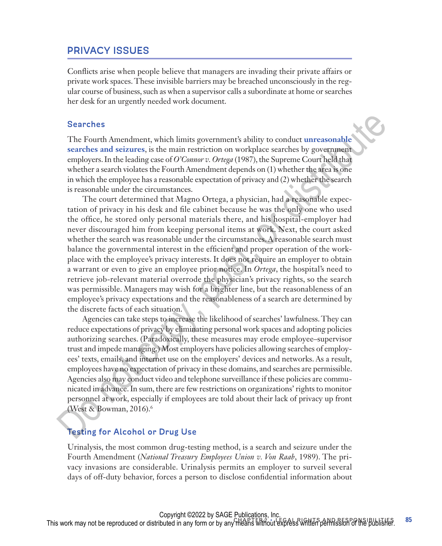## **PRIVACY ISSUES**

Conflicts arise when people believe that managers are invading their private affairs or private work spaces. These invisible barriers may be breached unconsciously in the regular course of business, such as when a supervisor calls a subordinate at home or searches her desk for an urgently needed work document.

#### **Searches**

The Fourth Amendment, which limits government's ability to conduct **unreasonable searches and seizures**, is the main restriction on workplace searches by government employers. In the leading case of *O'Connor v. Ortega* (1987), the Supreme Court held that whether a search violates the Fourth Amendment depends on (1) whether the area is one in which the employee has a reasonable expectation of privacy and (2) whether the search is reasonable under the circumstances.

The court determined that Magno Ortega, a physician, had a reasonable expectation of privacy in his desk and file cabinet because he was the only one who used the office, he stored only personal materials there, and his hospital-employer had never discouraged him from keeping personal items at work. Next, the court asked whether the search was reasonable under the circumstances. A reasonable search must balance the governmental interest in the efficient and proper operation of the workplace with the employee's privacy interests. It does not require an employer to obtain a warrant or even to give an employee prior notice. In *Ortega*, the hospital's need to retrieve job-relevant material overrode the physician's privacy rights, so the search was permissible. Managers may wish for a brighter line, but the reasonableness of an employee's privacy expectations and the reasonableness of a search are determined by the discrete facts of each situation. Searches The Fourth Amendment, which limits government's ability to conduct unreasonable scarches and sciences is the main restriction on workplace scarches by government energy energy energy energy and the Fourth Amendme

Agencies can take steps to increase the likelihood of searches' lawfulness. They can reduce expectations of privacy by eliminating personal work spaces and adopting policies authorizing searches. (Paradoxically, these measures may erode employee–supervisor trust and impede managing.) Most employers have policies allowing searches of employees' texts, emails, and internet use on the employers' devices and networks. As a result, employees have no expectation of privacy in these domains, and searches are permissible. Agencies also may conduct video and telephone surveillance if these policies are communicated in advance. In sum, there are few restrictions on organizations' rights to monitor personnel at work, especially if employees are told about their lack of privacy up front (West & Bowman, 2016).<sup>6</sup>

## **Testing for Alcohol or Drug Use**

Urinalysis, the most common drug-testing method, is a search and seizure under the Fourth Amendment (*National Treasury Employees Union v. Von Raab*, 1989). The privacy invasions are considerable. Urinalysis permits an employer to surveil several days of off-duty behavior, forces a person to disclose confidential information about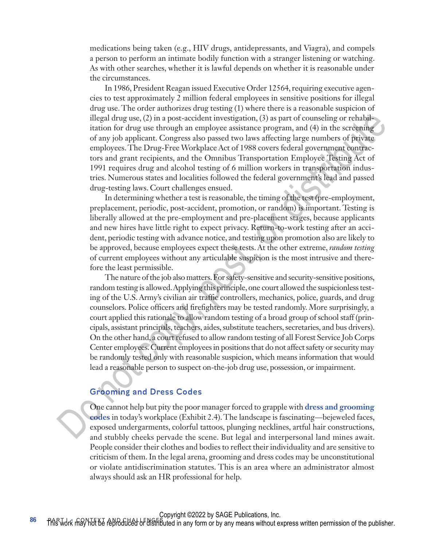medications being taken (e.g., HIV drugs, antidepressants, and Viagra), and compels a person to perform an intimate bodily function with a stranger listening or watching. As with other searches, whether it is lawful depends on whether it is reasonable under the circumstances.

In 1986, President Reagan issued Executive Order 12564, requiring executive agencies to test approximately 2 million federal employees in sensitive positions for illegal drug use. The order authorizes drug testing (1) where there is a reasonable suspicion of illegal drug use, (2) in a post-accident investigation, (3) as part of counseling or rehabilitation for drug use through an employee assistance program, and (4) in the screening of any job applicant. Congress also passed two laws affecting large numbers of private employees. The Drug-Free Workplace Act of 1988 covers federal government contractors and grant recipients, and the Omnibus Transportation Employee Testing Act of 1991 requires drug and alcohol testing of 6 million workers in transportation industries. Numerous states and localities followed the federal government's lead and passed drug-testing laws. Court challenges ensued.

In determining whether a test is reasonable, the timing of the test (pre-employment, preplacement, periodic, post-accident, promotion, or random) is important. Testing is liberally allowed at the pre-employment and pre-placement stages, because applicants and new hires have little right to expect privacy. Return-to-work testing after an accident, periodic testing with advance notice, and testing upon promotion also are likely to be approved, because employees expect these tests. At the other extreme, *random testing*  of current employees without any articulable suspicion is the most intrusive and therefore the least permissible.

The nature of the job also matters. For safety-sensitive and security-sensitive positions, random testing is allowed. Applying this principle, one court allowed the suspicionless testing of the U.S. Army's civilian air traffic controllers, mechanics, police, guards, and drug counselors. Police officers and firefighters may be tested randomly. More surprisingly, a court applied this rationale to allow random testing of a broad group of school staff (principals, assistant principals, teachers, aides, substitute teachers, secretaries, and bus drivers). On the other hand, a court refused to allow random testing of all Forest Service Job Corps Center employees. Current employees in positions that do not affect safety or security may be randomly tested only with reasonable suspicion, which means information that would lead a reasonable person to suspect on-the-job drug use, possession, or impairment. illegal drug use, (2) in a post-accident investigation, (3) as part of counseling or reaking<br>income for drug use through an employe assistance program, and (4) in the screening<br>of any job applicant. Congress also passed tw

#### **Grooming and Dress Codes**

One cannot help but pity the poor manager forced to grapple with **dress and grooming codes** in today's workplace (Exhibit 2.4). The landscape is fascinating—bejeweled faces, exposed undergarments, colorful tattoos, plunging necklines, artful hair constructions, and stubbly cheeks pervade the scene. But legal and interpersonal land mines await. People consider their clothes and bodies to reflect their individuality and are sensitive to criticism of them. In the legal arena, grooming and dress codes may be unconstitutional or violate antidiscrimination statutes. This is an area where an administrator almost always should ask an HR professional for help.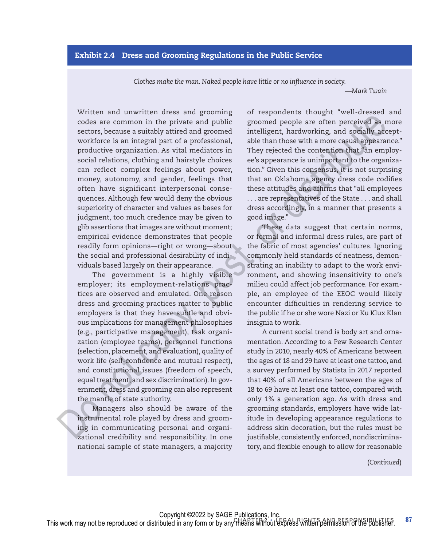*Clothes make the man. Naked people have little or no influence in society.*

*—Mark Twain*

Written and unwritten dress and grooming codes are common in the private and public sectors, because a suitably attired and groomed workforce is an integral part of a professional, productive organization. As vital mediators in social relations, clothing and hairstyle choices can reflect complex feelings about power, money, autonomy, and gender, feelings that often have significant interpersonal consequences. Although few would deny the obvious superiority of character and values as bases for judgment, too much credence may be given to glib assertions that images are without moment; empirical evidence demonstrates that people readily form opinions—right or wrong—about the social and professional desirability of individuals based largely on their appearance. eventor one conservation of the specific the specific term of the specific term of the section, because a suitably affered and product in the private and public groomed people are often perceived as a section, the section

The government is a highly visible employer; its employment-relations practices are observed and emulated. One reason dress and grooming practices matter to public employers is that they have subtle and obvious implications for management philosophies (e.g., participative management), task organization (employee teams), personnel functions (selection, placement, and evaluation), quality of work life (self-confidence and mutual respect), and constitutional issues (freedom of speech, equal treatment, and sex discrimination). In government, dress and grooming can also represent the mantle of state authority.

Managers also should be aware of the instrumental role played by dress and grooming in communicating personal and organizational credibility and responsibility. In one national sample of state managers, a majority of respondents thought "well-dressed and groomed people are often perceived as more intelligent, hardworking, and socially acceptable than those with a more casual appearance." They rejected the contention that "an employee's appearance is unimportant to the organization." Given this consensus, it is not surprising that an Oklahoma agency dress code codifies these attitudes and affirms that "all employees . . . are representatives of the State . . . and shall dress accordingly, in a manner that presents a good image."

These data suggest that certain norms, or formal and informal dress rules, are part of the fabric of most agencies' cultures. Ignoring commonly held standards of neatness, demonstrating an inability to adapt to the work environment, and showing insensitivity to one's milieu could affect job performance. For example, an employee of the EEOC would likely encounter difficulties in rendering service to the public if he or she wore Nazi or Ku Klux Klan insignia to work.

A current social trend is body art and ornamentation. According to a Pew Research Center study in 2010, nearly 40% of Americans between the ages of 18 and 29 have at least one tattoo, and a survey performed by Statista in 2017 reported that 40% of all Americans between the ages of 18 to 69 have at least one tattoo, compared with only 1% a generation ago. As with dress and grooming standards, employers have wide latitude in developing appearance regulations to address skin decoration, but the rules must be justifiable, consistently enforced, nondiscriminatory, and flexible enough to allow for reasonable

(*Continued*)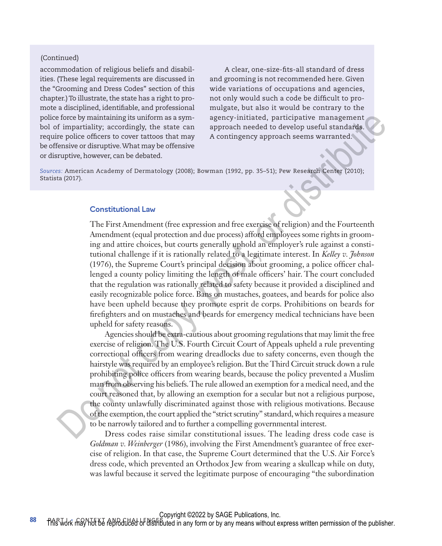#### (Continued)

accommodation of religious beliefs and disabilities. (These legal requirements are discussed in the "Grooming and Dress Codes" section of this chapter.) To illustrate, the state has a right to promote a disciplined, identifiable, and professional police force by maintaining its uniform as a symbol of impartiality; accordingly, the state can require police officers to cover tattoos that may be offensive or disruptive. What may be offensive or disruptive, however, can be debated.

A clear, one-size-fits-all standard of dress and grooming is not recommended here. Given wide variations of occupations and agencies, not only would such a code be difficult to promulgate, but also it would be contrary to the agency-initiated, participative management approach needed to develop useful standards. A contingency approach seems warranted.

*Sources:* American Academy of Dermatology (2008); Bowman (1992, pp. 35–51); Pew Research Center (2010); Statista (2017).

#### **Constitutional Law**

The First Amendment (free expression and free exercise of religion) and the Fourteenth Amendment (equal protection and due process) afford employees some rights in grooming and attire choices, but courts generally uphold an employer's rule against a constitutional challenge if it is rationally related to a legitimate interest. In *Kelley v. Johnson*  (1976), the Supreme Court's principal decision about grooming, a police officer challenged a county policy limiting the length of male officers' hair. The court concluded that the regulation was rationally related to safety because it provided a disciplined and easily recognizable police force. Bans on mustaches, goatees, and beards for police also have been upheld because they promote esprit de corps. Prohibitions on beards for firefighters and on mustaches and beards for emergency medical technicians have been upheld for safety reasons. force by maintaining its uniform as a symp- similated, participative management theoretic procedure (because the police offeres to cover tattoos that may approach needed to develop useful standards.<br>
The police ofference

Agencies should be extra-cautious about grooming regulations that may limit the free exercise of religion. The U.S. Fourth Circuit Court of Appeals upheld a rule preventing correctional officers from wearing dreadlocks due to safety concerns, even though the hairstyle was required by an employee's religion. But the Third Circuit struck down a rule prohibiting police officers from wearing beards, because the policy prevented a Muslim man from observing his beliefs. The rule allowed an exemption for a medical need, and the court reasoned that, by allowing an exemption for a secular but not a religious purpose, the county unlawfully discriminated against those with religious motivations. Because of the exemption, the court applied the "strict scrutiny" standard, which requires a measure to be narrowly tailored and to further a compelling governmental interest.

Dress codes raise similar constitutional issues. The leading dress code case is *Goldman v. Weinberger* (1986), involving the First Amendment's guarantee of free exercise of religion. In that case, the Supreme Court determined that the U.S. Air Force's dress code, which prevented an Orthodox Jew from wearing a skullcap while on duty, was lawful because it served the legitimate purpose of encouraging "the subordination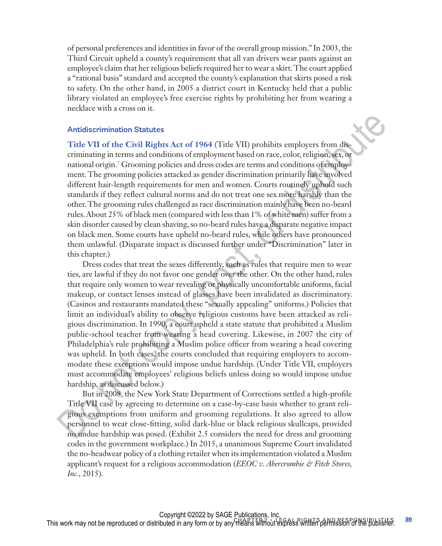of personal preferences and identities in favor of the overall group mission." In 2003, the Third Circuit upheld a county's requirement that all van drivers wear pants against an employee's claim that her religious beliefs required her to wear a skirt. The court applied a "rational basis" standard and accepted the county's explanation that skirts posed a risk to safety. On the other hand, in 2005 a district court in Kentucky held that a public library violated an employee's free exercise rights by prohibiting her from wearing a necklace with a cross on it.

#### **Antidiscrimination Statutes**

**Title VII of the Civil Rights Act of 1964** (Title VII) prohibits employers from discriminating in terms and conditions of employment based on race, color, religion, sex, or national origin.7 Grooming policies and dress codes are terms and conditions of employment. The grooming policies attacked as gender discrimination primarily have involved different hair-length requirements for men and women. Courts routinely uphold such standards if they reflect cultural norms and do not treat one sex more harshly than the other. The grooming rules challenged as race discrimination mainly have been no-beard rules. About 25% of black men (compared with less than 1% of white men) suffer from a skin disorder caused by clean shaving, so no-beard rules have a disparate negative impact on black men. Some courts have upheld no-beard rules, while others have pronounced them unlawful. (Disparate impact is discussed further under "Discrimination" later in this chapter.)

Dress codes that treat the sexes differently, such as rules that require men to wear ties, are lawful if they do not favor one gender over the other. On the other hand, rules that require only women to wear revealing or physically uncomfortable uniforms, facial makeup, or contact lenses instead of glasses have been invalidated as discriminatory. (Casinos and restaurants mandated these "sexually appealing" uniforms.) Policies that limit an individual's ability to observe religious customs have been attacked as religious discrimination. In 1990, a court upheld a state statute that prohibited a Muslim public-school teacher from wearing a head covering. Likewise, in 2007 the city of Philadelphia's rule prohibiting a Muslim police officer from wearing a head covering was upheld. In both cases, the courts concluded that requiring employers to accommodate these exceptions would impose undue hardship. (Under Title VII, employers must accommodate employees' religious beliefs unless doing so would impose undue hardship, as discussed below.) Antidiscrimination Statutes<br>
Tride VII of the Civil Rights Act of 1964 (Title VII) prohibits employers from discriminating in terms and conditions of employment based on race, color, religion, sex, or a<br>
main of rigion, i

But in 2008, the New York State Department of Corrections settled a high-profile Title VII case by agreeing to determine on a case-by-case basis whether to grant religious exemptions from uniform and grooming regulations. It also agreed to allow personnel to wear close-fitting, solid dark-blue or black religious skullcaps, provided no undue hardship was posed. (Exhibit 2.5 considers the need for dress and grooming codes in the government workplace.) In 2015, a unanimous Supreme Court invalidated the no-headwear policy of a clothing retailer when its implementation violated a Muslim applicant's request for a religious accommodation (*EEOC v. Abercrombie & Fitch Stores, Inc.*, 2015).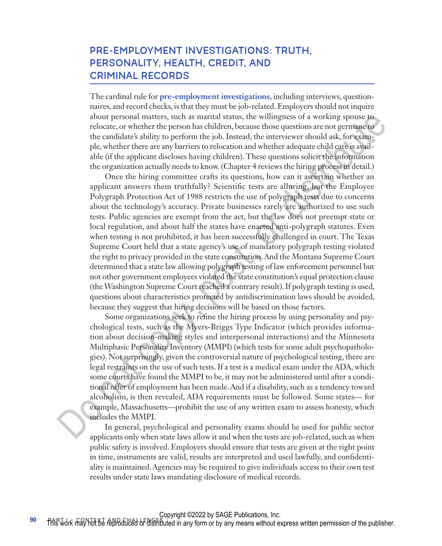## **PRE-EMPLOYMENT INVESTIGATIONS: TRUTH, PERSONALITY, HEALTH, CREDIT, AND CRIMINAL RECORDS**

The cardinal rule for **pre-employment investigations**, including interviews, questionnaires, and record checks, is that they must be job-related. Employers should not inquire about personal matters, such as marital status, the willingness of a working spouse to relocate, or whether the person has children, because those questions are not germane to the candidate's ability to perform the job. Instead, the interviewer should ask, for example, whether there are any barriers to relocation and whether adequate child care is available (if the applicant discloses having children). These questions solicit the information the organization actually needs to know. (Chapter 4 reviews the hiring process in detail.)

Once the hiring committee crafts its questions, how can it ascertain whether an applicant answers them truthfully? Scientific tests are alluring, but the Employee Polygraph Protection Act of 1988 restricts the use of polygraph tests due to concerns about the technology's accuracy. Private businesses rarely are authorized to use such tests. Public agencies are exempt from the act, but the law does not preempt state or local regulation, and about half the states have enacted anti-polygraph statutes. Even when testing is not prohibited, it has been successfully challenged in court. The Texas Supreme Court held that a state agency's use of mandatory polygraph testing violated the right to privacy provided in the state constitution. And the Montana Supreme Court determined that a state law allowing polygraph testing of law enforcement personnel but not other government employees violated the state constitution's equal protection clause (the Washington Supreme Court reached a contrary result). If polygraph testing is used, questions about characteristics protected by antidiscrimination laws should be avoided, because they suggest that hiring decisions will be based on those factors. about personal matters, such as mariful status, the willingness of a working sponse to<br>edecate, or whether the person has children, because those questions are not germane to<br>the candidate's ability to perform the job. Ins

Some organizations seek to refine the hiring process by using personality and psychological tests, such as the Myers-Briggs Type Indicator (which provides information about decision-making styles and interpersonal interactions) and the Minnesota Multiphasic Personality Inventory (MMPI) (which tests for some adult psychopathologies). Not surprisingly, given the controversial nature of psychological testing, there are legal restraints on the use of such tests. If a test is a medical exam under the ADA, which some courts have found the MMPI to be, it may not be administered until after a conditional offer of employment has been made. And if a disability, such as a tendency toward alcoholism, is then revealed, ADA requirements must be followed. Some states— for example, Massachusetts—prohibit the use of any written exam to assess honesty, which includes the MMPI.

In general, psychological and personality exams should be used for public sector applicants only when state laws allow it and when the tests are job-related, such as when public safety is involved. Employers should ensure that tests are given at the right point in time, instruments are valid, results are interpreted and used lawfully, and confidentiality is maintained. Agencies may be required to give individuals access to their own test results under state laws mandating disclosure of medical records.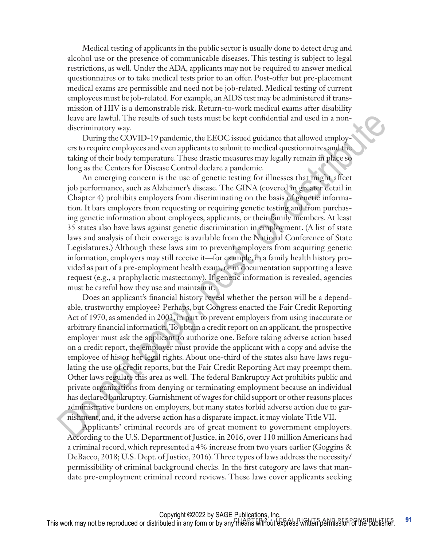Medical testing of applicants in the public sector is usually done to detect drug and alcohol use or the presence of communicable diseases. This testing is subject to legal restrictions, as well. Under the ADA, applicants may not be required to answer medical questionnaires or to take medical tests prior to an offer. Post-offer but pre-placement medical exams are permissible and need not be job-related. Medical testing of current employees must be job-related. For example, an AIDS test may be administered if transmission of HIV is a demonstrable risk. Return-to-work medical exams after disability leave are lawful. The results of such tests must be kept confidential and used in a nondiscriminatory way.

During the COVID-19 pandemic, the EEOC issued guidance that allowed employers to require employees and even applicants to submit to medical questionnaires and the taking of their body temperature. These drastic measures may legally remain in place so long as the Centers for Disease Control declare a pandemic.

An emerging concern is the use of genetic testing for illnesses that might affect job performance, such as Alzheimer's disease. The GINA (covered in greater detail in Chapter 4) prohibits employers from discriminating on the basis of genetic information. It bars employers from requesting or requiring genetic testing and from purchasing genetic information about employees, applicants, or their family members. At least 35 states also have laws against genetic discrimination in employment. (A list of state laws and analysis of their coverage is available from the National Conference of State Legislatures.) Although these laws aim to prevent employers from acquiring genetic information, employers may still receive it—for example, in a family health history provided as part of a pre-employment health exam, or in documentation supporting a leave request (e.g., a prophylactic mastectomy). If genetic information is revealed, agencies must be careful how they use and maintain it.

Does an applicant's financial history reveal whether the person will be a dependable, trustworthy employee? Perhaps, but Congress enacted the Fair Credit Reporting Act of 1970, as amended in 2003, in part to prevent employers from using inaccurate or arbitrary financial information. To obtain a credit report on an applicant, the prospective employer must ask the applicant to authorize one. Before taking adverse action based on a credit report, the employer must provide the applicant with a copy and advise the employee of his or her legal rights. About one-third of the states also have laws regulating the use of credit reports, but the Fair Credit Reporting Act may preempt them. Other laws regulate this area as well. The federal Bankruptcy Act prohibits public and private organizations from denying or terminating employment because an individual has declared bankruptcy. Garnishment of wages for child support or other reasons places administrative burdens on employers, but many states forbid adverse action due to garnishment, and, if the adverse action has a disparate impact, it may violate Title VII. leave are law<br>thi. The results of such tests must be kept confidential and used in a non-<br>discriminatory way.<br>During the COVID-19 pandemic, the EEOC issued guidance that allowed employ-<br>eras to require employers and even

Applicants' criminal records are of great moment to government employers. According to the U.S. Department of Justice, in 2016, over 110 million Americans had a criminal record, which represented a 4% increase from two years earlier (Goggins & DeBacco, 2018; U.S. Dept. of Justice, 2016). Three types of laws address the necessity/ permissibility of criminal background checks. In the first category are laws that mandate pre-employment criminal record reviews. These laws cover applicants seeking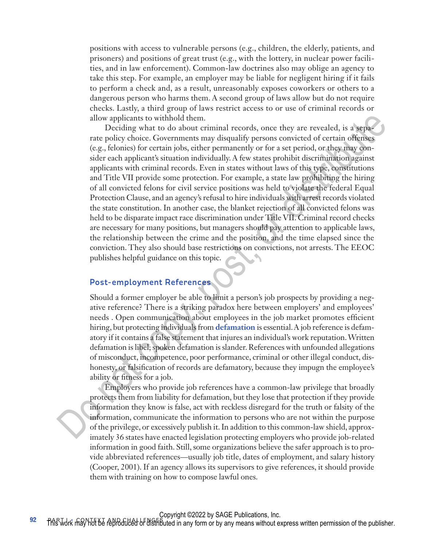positions with access to vulnerable persons (e.g., children, the elderly, patients, and prisoners) and positions of great trust (e.g., with the lottery, in nuclear power facilities, and in law enforcement). Common-law doctrines also may oblige an agency to take this step. For example, an employer may be liable for negligent hiring if it fails to perform a check and, as a result, unreasonably exposes coworkers or others to a dangerous person who harms them. A second group of laws allow but do not require checks. Lastly, a third group of laws restrict access to or use of criminal records or allow applicants to withhold them.

Deciding what to do about criminal records, once they are revealed, is a separate policy choice. Governments may disqualify persons convicted of certain offenses (e.g., felonies) for certain jobs, either permanently or for a set period, or they may consider each applicant's situation individually. A few states prohibit discrimination against applicants with criminal records. Even in states without laws of this type, constitutions and Title VII provide some protection. For example, a state law prohibiting the hiring of all convicted felons for civil service positions was held to violate the federal Equal Protection Clause, and an agency's refusal to hire individuals with arrest records violated the state constitution. In another case, the blanket rejection of all convicted felons was held to be disparate impact race discrimination under Title VII. Criminal record checks are necessary for many positions, but managers should pay attention to applicable laws, the relationship between the crime and the position, and the time elapsed since the conviction. They also should base restrictions on convictions, not arrests. The EEOC publishes helpful guidance on this topic. allow applicants to with<br>hid then, the informal records, once they are revealed, is a separate policy choice. Governments may disqualify persons convicted of certain of<br>Funses (e.g., felonics) for certain jobs, either perm

#### **Post-employment References**

Should a former employer be able to limit a person's job prospects by providing a negative reference? There is a striking paradox here between employers' and employees' needs . Open communication about employees in the job market promotes efficient hiring, but protecting individuals from **defamation** is essential. A job reference is defamatory if it contains a false statement that injures an individual's work reputation. Written defamation is libel; spoken defamation is slander. References with unfounded allegations of misconduct, incompetence, poor performance, criminal or other illegal conduct, dishonesty, or falsification of records are defamatory, because they impugn the employee's ability or fitness for a job.

Employers who provide job references have a common-law privilege that broadly protects them from liability for defamation, but they lose that protection if they provide information they know is false, act with reckless disregard for the truth or falsity of the information, communicate the information to persons who are not within the purpose of the privilege, or excessively publish it. In addition to this common-law shield, approximately 36 states have enacted legislation protecting employers who provide job-related information in good faith. Still, some organizations believe the safer approach is to provide abbreviated references—usually job title, dates of employment, and salary history (Cooper, 2001). If an agency allows its supervisors to give references, it should provide them with training on how to compose lawful ones.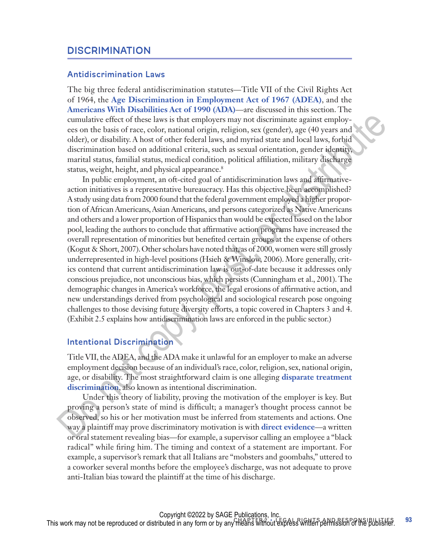## **DISCRIMINATION**

#### **Antidiscrimination Laws**

The big three federal antidiscrimination statutes—Title VII of the Civil Rights Act of 1964, the **Age Discrimination in Employment Act of 1967 (ADEA)**, and the **Americans With Disabilities Act of 1990 (ADA)**—are discussed in this section. The cumulative effect of these laws is that employers may not discriminate against employees on the basis of race, color, national origin, religion, sex (gender), age (40 years and older), or disability. A host of other federal laws, and myriad state and local laws, forbid discrimination based on additional criteria, such as sexual orientation, gender identity, marital status, familial status, medical condition, political affiliation, military discharge status, weight, height, and physical appearance.<sup>8</sup>

In public employment, an oft-cited goal of antidiscrimination laws and affirmativeaction initiatives is a representative bureaucracy. Has this objective been accomplished? A study using data from 2000 found that the federal government employed a higher proportion of African Americans, Asian Americans, and persons categorized as Native Americans and others and a lower proportion of Hispanics than would be expected based on the labor pool, leading the authors to conclude that affirmative action programs have increased the overall representation of minorities but benefited certain groups at the expense of others (Kogut & Short, 2007). Other scholars have noted that, as of 2000, women were still grossly underrepresented in high-level positions (Hsieh & Winslow, 2006). More generally, critics contend that current antidiscrimination law is out-of-date because it addresses only conscious prejudice, not unconscious bias, which persists (Cunningham et al., 2001). The demographic changes in America's workforce, the legal erosions of affirmative action, and new understandings derived from psychological and sociological research pose ongoing challenges to those devising future diversity efforts, a topic covered in Chapters 3 and 4. (Exhibit 2.5 explains how antidiscrimination laws are enforced in the public sector.) cumulative effect of these laws is that employers may not discriminate against employes<br>of onche basis of race, olor, national origin, religion, sex (gende), age (40 years and<br>older), or disability. A host of other federa

## **Intentional Discrimination**

Title VII, the ADEA, and the ADA make it unlawful for an employer to make an adverse employment decision because of an individual's race, color, religion, sex, national origin, age, or disability. The most straightforward claim is one alleging **disparate treatment discrimination**, also known as intentional discrimination.

Under this theory of liability, proving the motivation of the employer is key. But proving a person's state of mind is difficult; a manager's thought process cannot be observed, so his or her motivation must be inferred from statements and actions. One way a plaintiff may prove discriminatory motivation is with **direct evidence**—a written or oral statement revealing bias—for example, a supervisor calling an employee a "black radical" while firing him. The timing and context of a statement are important. For example, a supervisor's remark that all Italians are "mobsters and goombahs," uttered to a coworker several months before the employee's discharge, was not adequate to prove anti-Italian bias toward the plaintiff at the time of his discharge.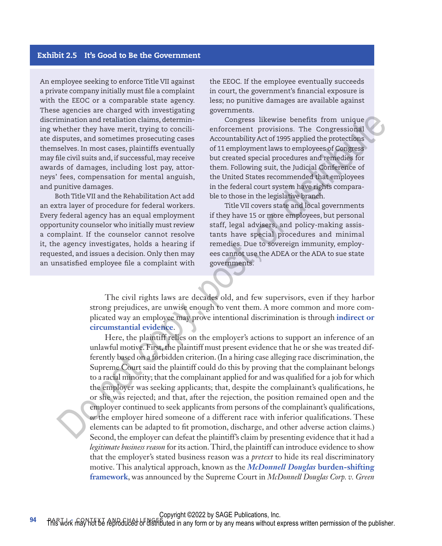#### Exhibit 2.5 It's Good to Be the Government

An employee seeking to enforce Title VII against a private company initially must file a complaint with the EEOC or a comparable state agency. These agencies are charged with investigating discrimination and retaliation claims, determining whether they have merit, trying to conciliate disputes, and sometimes prosecuting cases themselves. In most cases, plaintiffs eventually may file civil suits and, if successful, may receive awards of damages, including lost pay, attorneys' fees, compensation for mental anguish, and punitive damages.

Both Title VII and the Rehabilitation Act add an extra layer of procedure for federal workers. Every federal agency has an equal employment opportunity counselor who initially must review a complaint. If the counselor cannot resolve it, the agency investigates, holds a hearing if requested, and issues a decision. Only then may an unsatisfied employee file a complaint with

the EEOC. If the employee eventually succeeds in court, the government's financial exposure is less; no punitive damages are available against governments.

Congress likewise benefits from unique enforcement provisions. The Congressional Accountability Act of 1995 applied the protections of 11 employment laws to employees of Congress but created special procedures and remedies for them. Following suit, the Judicial Conference of the United States recommended that employees in the federal court system have rights comparable to those in the legislative branch.

Title VII covers state and local governments if they have 15 or more employees, but personal staff, legal advisers, and policy-making assistants have special procedures and minimal remedies. Due to sovereign immunity, employees cannot use the ADEA or the ADA to sue state governments.

The civil rights laws are decades old, and few supervisors, even if they harbor strong prejudices, are unwise enough to vent them. A more common and more complicated way an employee may prove intentional discrimination is through **indirect or circumstantial evidence**.

Here, the plaintiff relies on the employer's actions to support an inference of an unlawful motive. First, the plaintiff must present evidence that he or she was treated differently based on a forbidden criterion. (In a hiring case alleging race discrimination, the Supreme Court said the plaintiff could do this by proving that the complainant belongs to a racial minority; that the complainant applied for and was qualified for a job for which the employer was seeking applicants; that, despite the complainant's qualifications, he or she was rejected; and that, after the rejection, the position remained open and the employer continued to seek applicants from persons of the complainant's qualifications, *or* the employer hired someone of a different race with inferior qualifications. These elements can be adapted to fit promotion, discharge, and other adverse action claims.) Second, the employer can defeat the plaintiff's claim by presenting evidence that it had a *legitimate business reason* for its action. Third, the plaintiff can introduce evidence to show that the employer's stated business reason was a *pretext* to hide its real discriminatory motive. This analytical approach, known as the *McDonnell Douglas* **burden-shifting framework**, was announced by the Supreme Court in *McDonnell Douglas Corp. v. Green*  imination and retaliation claims, determinionally congress likewise benefits from unique the<br>the het have mentit, tyring to condit entrocement provisions. The Congression<br>disputes, and sometimes proceeding cases accountab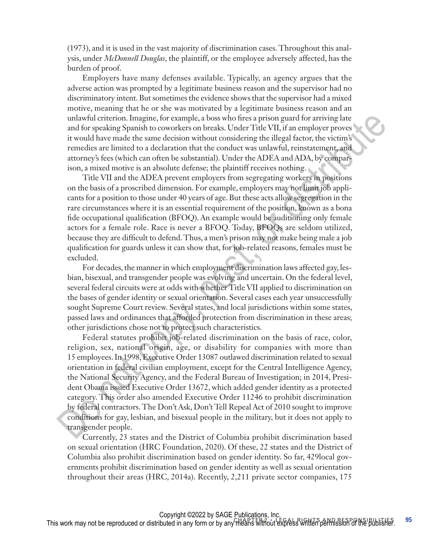(1973), and it is used in the vast majority of discrimination cases. Throughout this analysis, under *McDonnell Douglas*, the plaintiff, or the employee adversely affected, has the burden of proof.

Employers have many defenses available. Typically, an agency argues that the adverse action was prompted by a legitimate business reason and the supervisor had no discriminatory intent. But sometimes the evidence shows that the supervisor had a mixed motive, meaning that he or she was motivated by a legitimate business reason and an unlawful criterion. Imagine, for example, a boss who fires a prison guard for arriving late and for speaking Spanish to coworkers on breaks. Under Title VII, if an employer proves it would have made the same decision without considering the illegal factor, the victim's remedies are limited to a declaration that the conduct was unlawful, reinstatement, and attorney's fees (which can often be substantial). Under the ADEA and ADA, by comparison, a mixed motive is an absolute defense; the plaintiff receives nothing.

Title VII and the ADEA prevent employers from segregating workers in positions on the basis of a proscribed dimension. For example, employers may not limit job applicants for a position to those under 40 years of age. But these acts allow segregation in the rare circumstances where it is an essential requirement of the position, known as a bona fide occupational qualification (BFOQ). An example would be auditioning only female actors for a female role. Race is never a BFOQ. Today, BFOQs are seldom utilized, because they are difficult to defend. Thus, a men's prison may not make being male a job qualification for guards unless it can show that, for job-related reasons, females must be excluded.

For decades, the manner in which employment discrimination laws affected gay, lesbian, bisexual, and transgender people was evolving and uncertain. On the federal level, several federal circuits were at odds with whether Title VII applied to discrimination on the bases of gender identity or sexual orientation. Several cases each year unsuccessfully sought Supreme Court review. Several states, and local jurisdictions within some states, passed laws and ordinances that afforded protection from discrimination in these areas; other jurisdictions chose not to protect such characteristics.

Federal statutes prohibit job-related discrimination on the basis of race, color, religion, sex, national origin, age, or disability for companies with more than 15 employees. In 1998, Executive Order 13087 outlawed discrimination related to sexual orientation in federal civilian employment, except for the Central Intelligence Agency, the National Security Agency, and the Federal Bureau of Investigation; in 2014, President Obama issued Executive Order 13672, which added gender identity as a protected category. This order also amended Executive Order 11246 to prohibit discrimination by federal contractors. The Don't Ask, Don't Tell Repeal Act of 2010 sought to improve conditions for gay, lesbian, and bisexual people in the military, but it does not apply to transgender people. unlard<br>the circeino, Imagine, for example, a loos who firse a prison guard for a<br>relating David Internal and for speaking Spanish to covorbers on breaks. Under Trile VII, if an employer proves<br>it would have made the same

Currently, 23 states and the District of Columbia prohibit discrimination based on sexual orientation (HRC Foundation, 2020). Of these, 22 states and the District of Columbia also prohibit discrimination based on gender identity. So far, 429local governments prohibit discrimination based on gender identity as well as sexual orientation throughout their areas (HRC, 2014a). Recently, 2,211 private sector companies, 175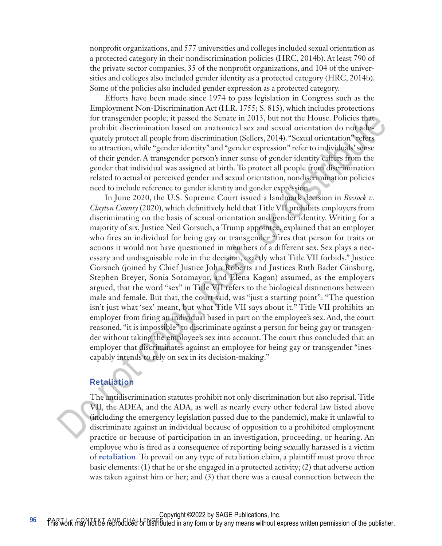nonprofit organizations, and 577 universities and colleges included sexual orientation as a protected category in their nondiscrimination policies (HRC, 2014b). At least 790 of the private sector companies, 35 of the nonprofit organizations, and 104 of the universities and colleges also included gender identity as a protected category (HRC, 2014b). Some of the policies also included gender expression as a protected category.

Efforts have been made since 1974 to pass legislation in Congress such as the Employment Non-Discrimination Act (H.R. 1755; S. 815), which includes protections for transgender people; it passed the Senate in 2013, but not the House. Policies that prohibit discrimination based on anatomical sex and sexual orientation do not adequately protect all people from discrimination (Sellers, 2014). "Sexual orientation" refers to attraction, while "gender identity" and "gender expression" refer to individuals' sense of their gender. A transgender person's inner sense of gender identity differs from the gender that individual was assigned at birth. To protect all people from discrimination related to actual or perceived gender and sexual orientation, nondiscrimination policies need to include reference to gender identity and gender expression.

In June 2020, the U.S. Supreme Court issued a landmark decision in *Bostock v. Clayton County* (2020), which definitively held that Title VII prohibits employers from discriminating on the basis of sexual orientation and gender identity. Writing for a majority of six, Justice Neil Gorsuch, a Trump appointee, explained that an employer who fires an individual for being gay or transgender "fires that person for traits or actions it would not have questioned in members of a different sex. Sex plays a necessary and undisguisable role in the decision, exactly what Title VII forbids." Justice Gorsuch (joined by Chief Justice John Roberts and Justices Ruth Bader Ginsburg, Stephen Breyer, Sonia Sotomayor, and Elena Kagan) assumed, as the employers argued, that the word "sex" in Title VII refers to the biological distinctions between male and female. But that, the court said, was "just a starting point": "The question isn't just what 'sex' meant, but what Title VII says about it." Title VII prohibits an employer from firing an individual based in part on the employee's sex. And, the court reasoned, "it is impossible" to discriminate against a person for being gay or transgender without taking the employee's sex into account. The court thus concluded that an employer that discriminates against an employee for being gay or transgender "inescapably intends to rely on sex in its decision-making." for transgonder people; it passed the Senate in 2013, but not the House. Policies that<br>probibit distrimination based on anatomical sex and sexual orientation do non ade-<br>putathy protoct all people from distrimination (Sel

## **Retaliation**

The antidiscrimination statutes prohibit not only discrimination but also reprisal. Title VII, the ADEA, and the ADA, as well as nearly every other federal law listed above (including the emergency legislation passed due to the pandemic), make it unlawful to discriminate against an individual because of opposition to a prohibited employment practice or because of participation in an investigation, proceeding, or hearing. An employee who is fired as a consequence of reporting being sexually harassed is a victim of **retaliation**. To prevail on any type of retaliation claim, a plaintiff must prove three basic elements: (1) that he or she engaged in a protected activity; (2) that adverse action was taken against him or her; and (3) that there was a causal connection between the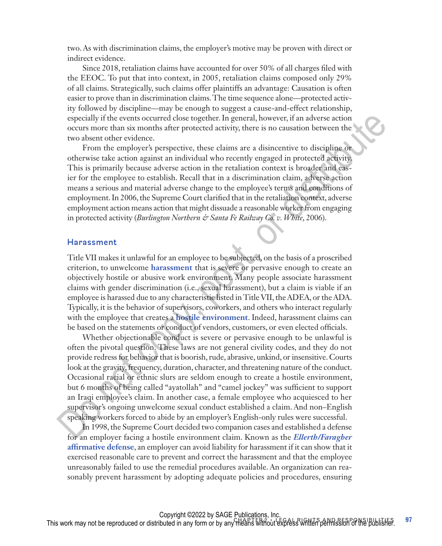two. As with discrimination claims, the employer's motive may be proven with direct or indirect evidence.

Since 2018, retaliation claims have accounted for over 50% of all charges filed with the EEOC. To put that into context, in 2005, retaliation claims composed only 29% of all claims. Strategically, such claims offer plaintiffs an advantage: Causation is often easier to prove than in discrimination claims. The time sequence alone—protected activity followed by discipline—may be enough to suggest a cause-and-effect relationship, especially if the events occurred close together. In general, however, if an adverse action occurs more than six months after protected activity, there is no causation between the two absent other evidence.

From the employer's perspective, these claims are a disincentive to discipline or otherwise take action against an individual who recently engaged in protected activity. This is primarily because adverse action in the retaliation context is broader and easier for the employee to establish. Recall that in a discrimination claim, adverse action means a serious and material adverse change to the employee's terms and conditions of employment. In 2006, the Supreme Court clarified that in the retaliation context, adverse employment action means action that might dissuade a reasonable worker from engaging in protected activity (*Burlington Northern & Santa Fe Railway Co. v. White*, 2006).

#### **Harassment**

Title VII makes it unlawful for an employee to be subjected, on the basis of a proscribed criterion, to unwelcome **harassment** that is severe or pervasive enough to create an objectively hostile or abusive work environment. Many people associate harassment claims with gender discrimination (i.e., sexual harassment), but a claim is viable if an employee is harassed due to any characteristic listed in Title VII, the ADEA, or the ADA. Typically, it is the behavior of supervisors, coworkers, and others who interact regularly with the employee that creates a **hostile environment**. Indeed, harassment claims can be based on the statements or conduct of vendors, customers, or even elected officials.

Whether objectionable conduct is severe or pervasive enough to be unlawful is often the pivotal question. These laws are not general civility codes, and they do not provide redress for behavior that is boorish, rude, abrasive, unkind, or insensitive. Courts look at the gravity, frequency, duration, character, and threatening nature of the conduct. Occasional racial or ethnic slurs are seldom enough to create a hostile environment, but 6 months of being called "ayatollah" and "camel jockey" was sufficient to support an Iraqi employee's claim. In another case, a female employee who acquiesced to her supervisor's ongoing unwelcome sexual conduct established a claim. And non–English speaking workers forced to abide by an employer's English-only rules were successful. especially if the events occurred close together. In general, however, if an adverse action<br>encent society that events occurred action, there is no coussion between the<br>encent set of the members' perspective, these distri

In 1998, the Supreme Court decided two companion cases and established a defense for an employer facing a hostile environment claim. Known as the *Ellerth/Faragher* **affirmative defense**, an employer can avoid liability for harassment if it can show that it exercised reasonable care to prevent and correct the harassment and that the employee unreasonably failed to use the remedial procedures available. An organization can reasonably prevent harassment by adopting adequate policies and procedures, ensuring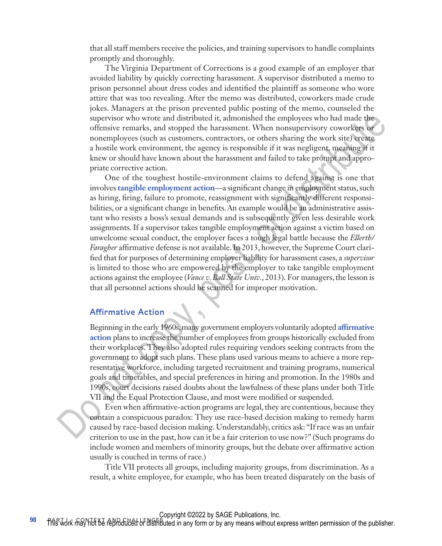that all staff members receive the policies, and training supervisors to handle complaints promptly and thoroughly.

The Virginia Department of Corrections is a good example of an employer that avoided liability by quickly correcting harassment. A supervisor distributed a memo to prison personnel about dress codes and identified the plaintiff as someone who wore attire that was too revealing. After the memo was distributed, coworkers made crude jokes. Managers at the prison prevented public posting of the memo, counseled the supervisor who wrote and distributed it, admonished the employees who had made the offensive remarks, and stopped the harassment. When nonsupervisory coworkers or nonemployees (such as customers, contractors, or others sharing the work site) create a hostile work environment, the agency is responsible if it was negligent, meaning if it knew or should have known about the harassment and failed to take prompt and appropriate corrective action.

One of the toughest hostile-environment claims to defend against is one that involves **tangible employment action**—a significant change in employment status, such as hiring, firing, failure to promote, reassignment with significantly different responsibilities, or a significant change in benefits. An example would be an administrative assistant who resists a boss's sexual demands and is subsequently given less desirable work assignments. If a supervisor takes tangible employment action against a victim based on unwelcome sexual conduct, the employer faces a tough legal battle because the *Ellerth/ Faragher* affirmative defense is not available. In 2013, however, the Supreme Court clarified that for purposes of determining employer liability for harassment cases, a *supervisor*  is limited to those who are empowered by the employer to take tangible employment actions against the employee (*Vance v. Ball State Univ.*, 2013). For managers, the lesson is that all personnel actions should be scanned for improper motivation. supervisor who wrote and disributed it, admonished the employees who hall and the substitute of the solution of the solution of the solution of the solution of the solution of the solution of the solution of the solution

## **Affirmative Action**

Beginning in the early 1960s, many government employers voluntarily adopted **affirmative action** plans to increase the number of employees from groups historically excluded from their workplaces. They also adopted rules requiring vendors seeking contracts from the government to adopt such plans. These plans used various means to achieve a more representative workforce, including targeted recruitment and training programs, numerical goals and timetables, and special preferences in hiring and promotion. In the 1980s and 1990s, court decisions raised doubts about the lawfulness of these plans under both Title VII and the Equal Protection Clause, and most were modified or suspended.

Even when affirmative-action programs are legal, they are contentious, because they contain a conspicuous paradox: They use race-based decision making to remedy harm caused by race-based decision making. Understandably, critics ask: "If race was an unfair criterion to use in the past, how can it be a fair criterion to use now?" (Such programs do include women and members of minority groups, but the debate over affirmative action usually is couched in terms of race.)

Title VII protects all groups, including majority groups, from discrimination. As a result, a white employee, for example, who has been treated disparately on the basis of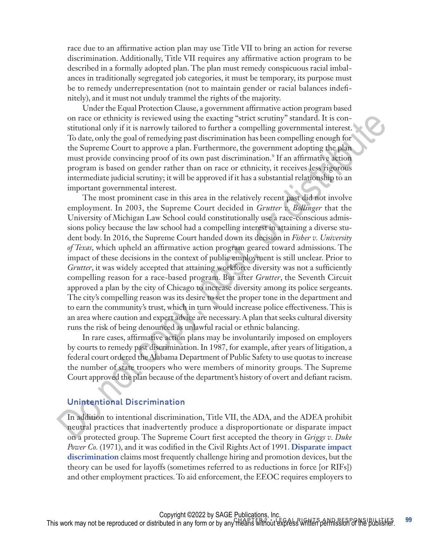race due to an affirmative action plan may use Title VII to bring an action for reverse discrimination. Additionally, Title VII requires any affirmative action program to be described in a formally adopted plan. The plan must remedy conspicuous racial imbalances in traditionally segregated job categories, it must be temporary, its purpose must be to remedy underrepresentation (not to maintain gender or racial balances indefinitely), and it must not unduly trammel the rights of the majority.

Under the Equal Protection Clause, a government affirmative action program based on race or ethnicity is reviewed using the exacting "strict scrutiny" standard. It is constitutional only if it is narrowly tailored to further a compelling governmental interest. To date, only the goal of remedying past discrimination has been compelling enough for the Supreme Court to approve a plan. Furthermore, the government adopting the plan must provide convincing proof of its own past discrimination.<sup>9</sup> If an affirmative action program is based on gender rather than on race or ethnicity, it receives less rigorous intermediate judicial scrutiny; it will be approved if it has a substantial relationship to an important governmental interest.

The most prominent case in this area in the relatively recent past did not involve employment. In 2003, the Supreme Court decided in *Grutter v. Bollinger* that the University of Michigan Law School could constitutionally use a race-conscious admissions policy because the law school had a compelling interest in attaining a diverse student body. In 2016, the Supreme Court handed down its decision in *Fisher v. University of Texas*, which upheld an affirmative action program geared toward admissions. The impact of these decisions in the context of public employment is still unclear. Prior to *Grutter*, it was widely accepted that attaining workforce diversity was not a sufficiently compelling reason for a race-based program. But after *Grutter*, the Seventh Circuit approved a plan by the city of Chicago to increase diversity among its police sergeants. The city's compelling reason was its desire to set the proper tone in the department and to earn the community's trust, which in turn would increase police effectiveness. This is an area where caution and expert advice are necessary. A plan that seeks cultural diversity runs the risk of being denounced as unlawful racial or ethnic balancing. on race or echanically is reviewed using the exaction fine the action of the scone of this control. This control is the same of the Suremental Interest.<br>To date, only the goal of remeding that distrimination has been comp

In rare cases, affirmative action plans may be involuntarily imposed on employers by courts to remedy past discrimination. In 1987, for example, after years of litigation, a federal court ordered the Alabama Department of Public Safety to use quotas to increase the number of state troopers who were members of minority groups. The Supreme Court approved the plan because of the department's history of overt and defiant racism.

#### **Unintentional Discrimination**

In addition to intentional discrimination, Title VII, the ADA, and the ADEA prohibit neutral practices that inadvertently produce a disproportionate or disparate impact on a protected group. The Supreme Court first accepted the theory in *Griggs v. Duke Power Co.* (1971), and it was codified in the Civil Rights Act of 1991. **Disparate impact discrimination** claims most frequently challenge hiring and promotion devices, but the theory can be used for layoffs (sometimes referred to as reductions in force [or RIFs]) and other employment practices. To aid enforcement, the EEOC requires employers to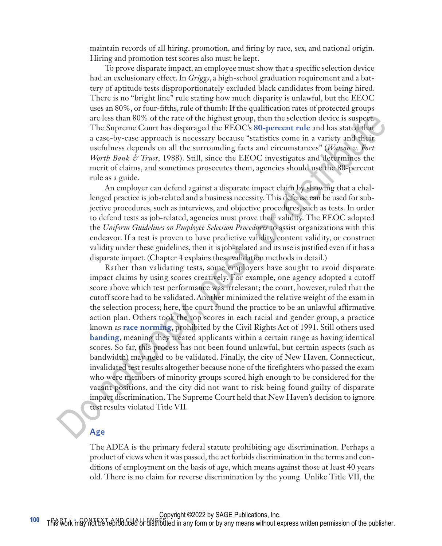maintain records of all hiring, promotion, and firing by race, sex, and national origin. Hiring and promotion test scores also must be kept.

To prove disparate impact, an employee must show that a specific selection device had an exclusionary effect. In *Griggs*, a high-school graduation requirement and a battery of aptitude tests disproportionately excluded black candidates from being hired. There is no "bright line" rule stating how much disparity is unlawful, but the EEOC uses an 80%, or four-fifths, rule of thumb: If the qualification rates of protected groups are less than 80% of the rate of the highest group, then the selection device is suspect. The Supreme Court has disparaged the EEOC's **80-percent rule** and has stated that a case-by-case approach is necessary because "statistics come in a variety and their usefulness depends on all the surrounding facts and circumstances" (*Watson v. Fort Worth Bank & Trust*, 1988). Still, since the EEOC investigates and determines the merit of claims, and sometimes prosecutes them, agencies should use the 80-percent rule as a guide.

An employer can defend against a disparate impact claim by showing that a challenged practice is job-related and a business necessity. This defense can be used for subjective procedures, such as interviews, and objective procedures, such as tests. In order to defend tests as job-related, agencies must prove their validity. The EEOC adopted the *Uniform Guidelines on Employee Selection Procedures* to assist organizations with this endeavor. If a test is proven to have predictive validity, content validity, or construct validity under these guidelines, then it is job-related and its use is justified even if it has a disparate impact. (Chapter 4 explains these validation methods in detail.)

Rather than validating tests, some employers have sought to avoid disparate impact claims by using scores creatively. For example, one agency adopted a cutoff score above which test performance was irrelevant; the court, however, ruled that the cutoff score had to be validated. Another minimized the relative weight of the exam in the selection process; here, the court found the practice to be an unlawful affirmative action plan. Others took the top scores in each racial and gender group, a practice known as **race norming**, prohibited by the Civil Rights Act of 1991. Still others used **banding**, meaning they treated applicants within a certain range as having identical scores. So far, this process has not been found unlawful, but certain aspects (such as bandwidth) may need to be validated. Finally, the city of New Haven, Connecticut, invalidated test results altogether because none of the firefighters who passed the exam who were members of minority groups scored high enough to be considered for the vacant positions, and the city did not want to risk being found guilty of disparate impact discrimination. The Supreme Court held that New Haven's decision to ignore test results violated Title VII. are less than 80% of the rule at of the lightst group, then the selection device is suspect the supernet Court has disparaged the EFOCS 80-percent rule and has stated<br>that a case-by-case approach is necessary because "sta

## **Age**

The ADEA is the primary federal statute prohibiting age discrimination. Perhaps a product of views when it was passed, the act forbids discrimination in the terms and conditions of employment on the basis of age, which means against those at least 40 years old. There is no claim for reverse discrimination by the young. Unlike Title VII, the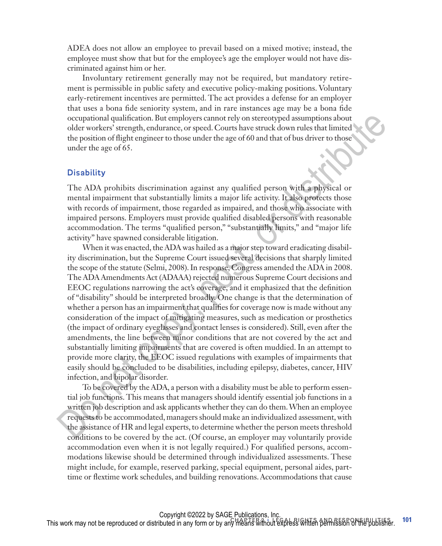ADEA does not allow an employee to prevail based on a mixed motive; instead, the employee must show that but for the employee's age the employer would not have discriminated against him or her.

Involuntary retirement generally may not be required, but mandatory retirement is permissible in public safety and executive policy-making positions. Voluntary early-retirement incentives are permitted. The act provides a defense for an employer that uses a bona fide seniority system, and in rare instances age may be a bona fide occupational qualification. But employers cannot rely on stereotyped assumptions about older workers' strength, endurance, or speed. Courts have struck down rules that limited the position of flight engineer to those under the age of 60 and that of bus driver to those under the age of 65.

#### **Disability**

The ADA prohibits discrimination against any qualified person with a physical or mental impairment that substantially limits a major life activity. It also protects those with records of impairment, those regarded as impaired, and those who associate with impaired persons. Employers must provide qualified disabled persons with reasonable accommodation. The terms "qualified person," "substantially limits," and "major life activity" have spawned considerable litigation.

When it was enacted, the ADA was hailed as a major step toward eradicating disability discrimination, but the Supreme Court issued several decisions that sharply limited the scope of the statute (Selmi, 2008). In response, Congress amended the ADA in 2008. The ADA Amendments Act (ADAAA) rejected numerous Supreme Court decisions and EEOC regulations narrowing the act's coverage, and it emphasized that the definition of "disability" should be interpreted broadly. One change is that the determination of whether a person has an impairment that qualifies for coverage now is made without any consideration of the impact of mitigating measures, such as medication or prosthetics (the impact of ordinary eyeglasses and contact lenses is considered). Still, even after the amendments, the line between minor conditions that are not covered by the act and substantially limiting impairments that are covered is often muddied. In an attempt to provide more clarity, the EEOC issued regulations with examples of impairments that easily should be concluded to be disabilities, including epilepsy, diabetes, cancer, HIV infection, and bipolar disorder. occupational qualification. I but employes cannot tely on strocopy dassumptions about the position of the position of thight empires or speed. Courts have struck down rules that limited the position of flight empire<br>er to

To be covered by the ADA, a person with a disability must be able to perform essential job functions. This means that managers should identify essential job functions in a written job description and ask applicants whether they can do them. When an employee requests to be accommodated, managers should make an individualized assessment, with the assistance of HR and legal experts, to determine whether the person meets threshold conditions to be covered by the act. (Of course, an employer may voluntarily provide accommodation even when it is not legally required.) For qualified persons, accommodations likewise should be determined through individualized assessments. These might include, for example, reserved parking, special equipment, personal aides, parttime or flextime work schedules, and building renovations. Accommodations that cause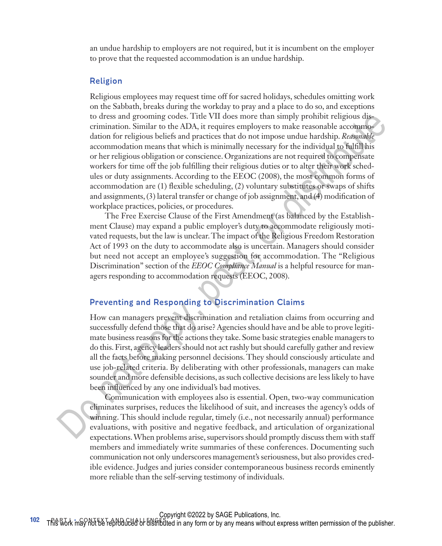an undue hardship to employers are not required, but it is incumbent on the employer to prove that the requested accommodation is an undue hardship.

#### **Religion**

Religious employees may request time off for sacred holidays, schedules omitting work on the Sabbath, breaks during the workday to pray and a place to do so, and exceptions to dress and grooming codes. Title VII does more than simply prohibit religious discrimination. Similar to the ADA, it requires employers to make reasonable accommodation for religious beliefs and practices that do not impose undue hardship. *Reasonable*  accommodation means that which is minimally necessary for the individual to fulfill his or her religious obligation or conscience. Organizations are not required to compensate workers for time off the job fulfilling their religious duties or to alter their work schedules or duty assignments. According to the EEOC (2008), the most common forms of accommodation are (1) flexible scheduling, (2) voluntary substitutes or swaps of shifts and assignments, (3) lateral transfer or change of job assignment, and (4) modification of workplace practices, policies, or procedures. to dess and groming codes. Trile VII does more than simply problinite religions dis-<br>
derimination. Similar to the ADA, it requires employers to make reasonable accommodation for religions beliefs and practices that do not

The Free Exercise Clause of the First Amendment (as balanced by the Establishment Clause) may expand a public employer's duty to accommodate religiously motivated requests, but the law is unclear. The impact of the Religious Freedom Restoration Act of 1993 on the duty to accommodate also is uncertain. Managers should consider but need not accept an employee's suggestion for accommodation. The "Religious Discrimination" section of the *EEOC Compliance Manual* is a helpful resource for managers responding to accommodation requests (EEOC, 2008).

#### **Preventing and Responding to Discrimination Claims**

How can managers prevent discrimination and retaliation claims from occurring and successfully defend those that do arise? Agencies should have and be able to prove legitimate business reasons for the actions they take. Some basic strategies enable managers to do this. First, agency leaders should not act rashly but should carefully gather and review all the facts before making personnel decisions. They should consciously articulate and use job-related criteria. By deliberating with other professionals, managers can make sounder and more defensible decisions, as such collective decisions are less likely to have been influenced by any one individual's bad motives.

Communication with employees also is essential. Open, two-way communication eliminates surprises, reduces the likelihood of suit, and increases the agency's odds of winning. This should include regular, timely (i.e., not necessarily annual) performance evaluations, with positive and negative feedback, and articulation of organizational expectations. When problems arise, supervisors should promptly discuss them with staff members and immediately write summaries of these conferences. Documenting such communication not only underscores management's seriousness, but also provides credible evidence. Judges and juries consider contemporaneous business records eminently more reliable than the self-serving testimony of individuals.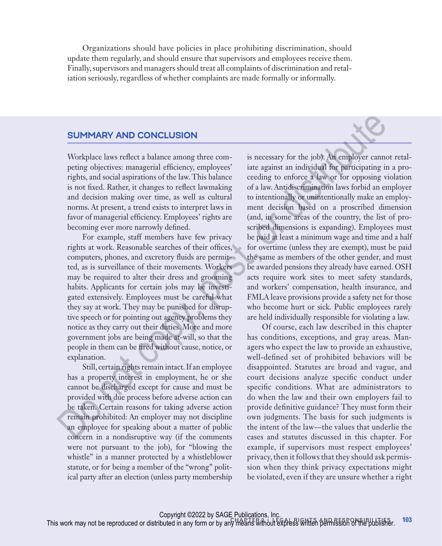Organizations should have policies in place prohibiting discrimination, should update them regularly, and should ensure that supervisors and employees receive them. Finally, supervisors and managers should treat all complaints of discrimination and retaliation seriously, regardless of whether complaints are made formally or informally.

#### SUMMARY AND CONCLUSION

Workplace laws reflect a balance among three competing objectives: managerial efficiency, employees' rights, and social aspirations of the law. This balance is not fixed. Rather, it changes to reflect lawmaking and decision making over time, as well as cultural norms. At present, a trend exists to interpret laws in favor of managerial efficiency. Employees' rights are becoming ever more narrowly defined.

For example, staff members have few privacy rights at work. Reasonable searches of their offices, computers, phones, and excretory fluids are permitted, as is surveillance of their movements. Workers may be required to alter their dress and grooming habits. Applicants for certain jobs may be investigated extensively. Employees must be careful what they say at work. They may be punished for disruptive speech or for pointing out agency problems they notice as they carry out their duties. More and more government jobs are being made at-will, so that the people in them can be fired without cause, notice, or explanation.

Still, certain rights remain intact. If an employee has a property interest in employment, he or she cannot be discharged except for cause and must be provided with due process before adverse action can be taken. Certain reasons for taking adverse action remain prohibited: An employer may not discipline an employee for speaking about a matter of public concern in a nondisruptive way (if the comments were not pursuant to the job), for "blowing the whistle" in a manner protected by a whistleblower statute, or for being a member of the "wrong" political party after an election (unless party membership

is necessary for the job). An employer cannot retaliate against an individual for participating in a proceeding to enforce a law or for opposing violation of a law. Antidiscrimination laws forbid an employer to intentionally or unintentionally make an employment decision based on a proscribed dimension (and, in some areas of the country, the list of proscribed dimensions is expanding). Employees must be paid at least a minimum wage and time and a half for overtime (unless they are exempt), must be paid the same as members of the other gender, and must be awarded pensions they already have earned. OSH acts require work sites to meet safety standards, and workers' compensation, health insurance, and FMLA leave provisions provide a safety net for those who become hurt or sick. Public employees rarely are held individually responsible for violating a law. **SUMMARY AND CONCLUSION**<br>
Workplace laws reflect a balance among three com-<br>
is necessary for the job). An employer cannet principal entergrass in an experimental efficiency, employes in tensile and rediction making ore t

Of course, each law described in this chapter has conditions, exceptions, and gray areas. Managers who expect the law to provide an exhaustive, well-defined set of prohibited behaviors will be disappointed. Statutes are broad and vague, and court decisions analyze specific conduct under specific conditions. What are administrators to do when the law and their own employers fail to provide definitive guidance? They must form their own judgments. The basis for such judgments is the intent of the law—the values that underlie the cases and statutes discussed in this chapter. For example, if supervisors must respect employees' privacy, then it follows that they should ask permission when they think privacy expectations might be violated, even if they are unsure whether a right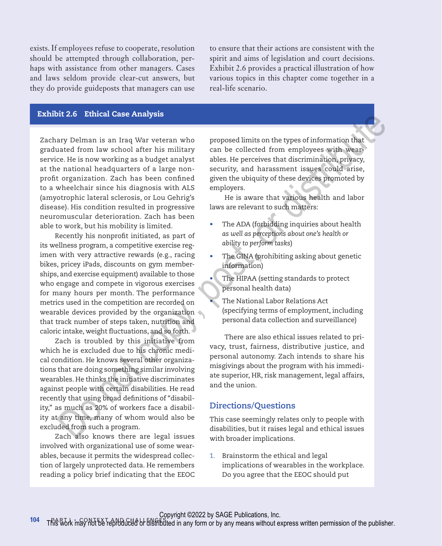exists. If employees refuse to cooperate, resolution should be attempted through collaboration, perhaps with assistance from other managers. Cases and laws seldom provide clear-cut answers, but they do provide guideposts that managers can use

to ensure that their actions are consistent with the spirit and aims of legislation and court decisions. Exhibit 2.6 provides a practical illustration of how various topics in this chapter come together in a real-life scenario.

#### Exhibit 2.6 Ethical Case Analysis

Zachary Delman is an Iraq War veteran who graduated from law school after his military service. He is now working as a budget analyst at the national headquarters of a large nonprofit organization. Zach has been confined to a wheelchair since his diagnosis with ALS (amyotrophic lateral sclerosis, or Lou Gehrig's disease). His condition resulted in progressive neuromuscular deterioration. Zach has been able to work, but his mobility is limited.

Recently his nonprofit initiated, as part of its wellness program, a competitive exercise regimen with very attractive rewards (e.g., racing bikes, pricey iPads, discounts on gym memberships, and exercise equipment) available to those who engage and compete in vigorous exercises for many hours per month. The performance metrics used in the competition are recorded on wearable devices provided by the organization that track number of steps taken, nutrition and caloric intake, weight fluctuations, and so forth. Sometic and the May of the Sometic and the types of information that<br>
and the constant and the military constant and the constant and the constant and the constant and the constant and the constant and the constant is also

Zach is troubled by this initiative from which he is excluded due to his chronic medical condition. He knows several other organizations that are doing something similar involving wearables. He thinks the initiative discriminates against people with certain disabilities. He read recently that using broad definitions of "disability," as much as 20% of workers face a disability at any time, many of whom would also be excluded from such a program.

Zach also knows there are legal issues involved with organizational use of some wearables, because it permits the widespread collection of largely unprotected data. He remembers reading a policy brief indicating that the EEOC proposed limits on the types of information that can be collected from employees with wearables. He perceives that discrimination, privacy, security, and harassment issues could arise, given the ubiquity of these devices promoted by employers.

He is aware that various health and labor laws are relevant to such matters:

- The ADA (forbidding inquiries about health *as well as perceptions about one's health or ability to perform tasks*)
- The GINA (prohibiting asking about genetic information)
- The HIPAA (setting standards to protect personal health data)
- The National Labor Relations Act (specifying terms of employment, including personal data collection and surveillance)

There are also ethical issues related to privacy, trust, fairness, distributive justice, and personal autonomy. Zach intends to share his misgivings about the program with his immediate superior, HR, risk management, legal affairs, and the union.

#### **Directions/Questions**

This case seemingly relates only to people with disabilities, but it raises legal and ethical issues with broader implications.

1. Brainstorm the ethical and legal implications of wearables in the workplace. Do you agree that the EEOC should put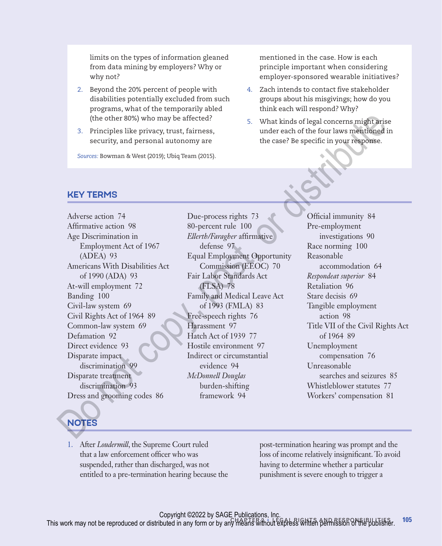limits on the types of information gleaned from data mining by employers? Why or why not?

- 2. Beyond the 20% percent of people with disabilities potentially excluded from such programs, what of the temporarily abled (the other 80%) who may be affected?
- 3. Principles like privacy, trust, fairness, security, and personal autonomy are

*Sources:* Bowman & West (2019); Ubiq Team (2015).

mentioned in the case. How is each principle important when considering employer-sponsored wearable initiatives?

- 4. Zach intends to contact five stakeholder groups about his misgivings; how do you think each will respond? Why?
- 5. What kinds of legal concerns might arise under each of the four laws mentioned in the case? Be specific in your response.

## KEY TERMS

**NOTES** 

Adverse action 74 Affirmative action 98 Age Discrimination in Employment Act of 1967 (ADEA) 93 Americans With Disabilities Act of 1990 (ADA) 93 At-will employment 72 Banding 100 Civil-law system 69 Civil Rights Act of 1964 89 Common-law system 69 Defamation 92 Direct evidence 93 Disparate impact discrimination 99 Disparate treatment discrimination 93 Dress and grooming codes 86  $\begin{tabular}{l|c|c|c} (the other 80%) who may be affected? & \mbox{\textcolor{red}{16}} & \mbox{\textcolor{red}{16}} & \mbox{\textcolor{red}{16}} & \mbox{\textcolor{red}{16}} & \mbox{\textcolor{red}{16}} & \mbox{\textcolor{red}{16}} & \mbox{\textcolor{red}{16}} & \mbox{\textcolor{red}{16}} & \mbox{\textcolor{red}{16}} & \mbox{\textcolor{red}{16}} & \mbox{\textcolor{red}{16}} & \mbox{\textcolor{red}{16}} & \mbox{\textcolor{red}{16}} & \mbox{\textcolor{red}{16}} & \mbox{\textcolor{red}{16$ 

Due-process rights 73 80-percent rule 100 *Ellerth/Faragher* affirmative defense 97 Equal Employment Opportunity Commission (EEOC) 70 Fair Labor Standards Act  $(FLSA)$  78 Family and Medical Leave Act of 1993 (FMLA) 83 Free-speech rights 76 Harassment 97 Hatch Act of 1939 77 Hostile environment 97 Indirect or circumstantial evidence 94 *McDonnell Douglas*  burden-shifting framework 94

Official immunity 84 Pre-employment investigations 90 Race norming 100 Reasonable accommodation 64 *Respondeat superior* 84 Retaliation 96 Stare decisis 69 Tangible employment action 98 Title VII of the Civil Rights Act of 1964 89 Unemployment compensation 76 Unreasonable searches and seizures 85 Whistleblower statutes 77 Workers' compensation 81

1. After *Loudermill*, the Supreme Court ruled that a law enforcement officer who was suspended, rather than discharged, was not entitled to a pre-termination hearing because the post-termination hearing was prompt and the loss of income relatively insignificant. To avoid having to determine whether a particular punishment is severe enough to trigger a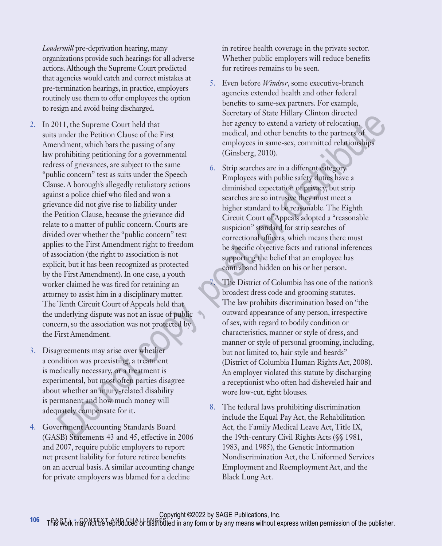*Loudermill* pre-deprivation hearing, many organizations provide such hearings for all adverse actions. Although the Supreme Court predicted that agencies would catch and correct mistakes at pre-termination hearings, in practice, employers routinely use them to offer employees the option to resign and avoid being discharged.

- 2. In 2011, the Supreme Court held that suits under the Petition Clause of the First Amendment, which bars the passing of any law prohibiting petitioning for a governmental redress of grievances, are subject to the same "public concern" test as suits under the Speech Clause. A borough's allegedly retaliatory actions against a police chief who filed and won a grievance did not give rise to liability under the Petition Clause, because the grievance did relate to a matter of public concern. Courts are divided over whether the "public concern" test applies to the First Amendment right to freedom of association (the right to association is not explicit, but it has been recognized as protected by the First Amendment). In one case, a youth worker claimed he was fired for retaining an attorney to assist him in a disciplinary matter. The Tenth Circuit Court of Appeals held that the underlying dispute was not an issue of public concern, so the association was not protected by the First Amendment. 2011, the Supreme Court held that<br>
section (The state and the pletion Clause of the First state and other benefits to the particular of the First<br>
under the Petition Clause of the First media and the hence for the content
- 3. Disagreements may arise over whether a condition was preexisting, a treatment is medically necessary, or a treatment is experimental, but most often parties disagree about whether an injury-related disability is permanent and how much money will adequately compensate for it.
- 4. Government Accounting Standards Board (GASB) Statements 43 and 45, effective in 2006 and 2007, require public employers to report net present liability for future retiree benefits on an accrual basis. A similar accounting change for private employers was blamed for a decline

in retiree health coverage in the private sector. Whether public employers will reduce benefits for retirees remains to be seen.

- 5. Even before *Windsor*, some executive-branch agencies extended health and other federal benefits to same-sex partners. For example, Secretary of State Hillary Clinton directed her agency to extend a variety of relocation, medical, and other benefits to the partners of employees in same-sex, committed relationships (Ginsberg, 2010).
- 6. Strip searches are in a different category. Employees with public safety duties have a diminished expectation of privacy, but strip searches are so intrusive they must meet a higher standard to be reasonable. The Eighth Circuit Court of Appeals adopted a "reasonable suspicion" standard for strip searches of correctional officers, which means there must be specific objective facts and rational inferences supporting the belief that an employee has contraband hidden on his or her person.
	- The District of Columbia has one of the nation's broadest dress code and grooming statutes. The law prohibits discrimination based on "the outward appearance of any person, irrespective of sex, with regard to bodily condition or characteristics, manner or style of dress, and manner or style of personal grooming, including, but not limited to, hair style and beards" (District of Columbia Human Rights Act, 2008). An employer violated this statute by discharging a receptionist who often had disheveled hair and wore low-cut, tight blouses.
- 8. The federal laws prohibiting discrimination include the Equal Pay Act, the Rehabilitation Act, the Family Medical Leave Act, Title IX, the 19th-century Civil Rights Acts (§§ 1981, 1983, and 1985), the Genetic Information Nondiscrimination Act, the Uniformed Services Employment and Reemployment Act, and the Black Lung Act.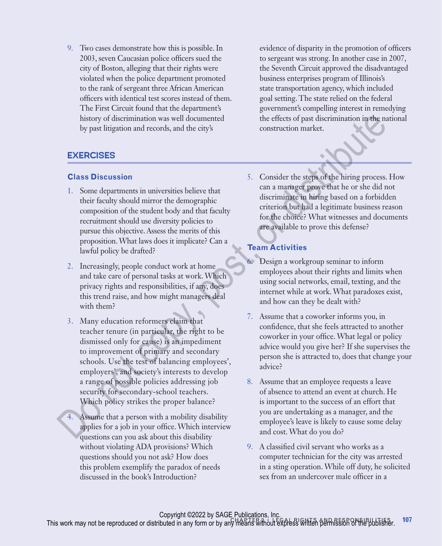9. Two cases demonstrate how this is possible. In 2003, seven Caucasian police officers sued the city of Boston, alleging that their rights were violated when the police department promoted to the rank of sergeant three African American officers with identical test scores instead of them. The First Circuit found that the department's history of discrimination was well documented by past litigation and records, and the city's

evidence of disparity in the promotion of officers to sergeant was strong. In another case in 2007, the Seventh Circuit approved the disadvantaged business enterprises program of Illinois's state transportation agency, which included goal setting. The state relied on the federal government's compelling interest in remedying the effects of past discrimination in the national construction market.

## EXERCISES

#### **Class Discussion**

- 1. Some departments in universities believe that their faculty should mirror the demographic composition of the student body and that faculty recruitment should use diversity policies to pursue this objective. Assess the merits of this proposition. What laws does it implicate? Can a lawful policy be drafted?
- 2. Increasingly, people conduct work at home and take care of personal tasks at work. Which privacy rights and responsibilities, if any, does this trend raise, and how might managers deal with them?
- 3. Many education reformers claim that teacher tenure (in particular, the right to be dismissed only for cause) is an impediment to improvement of primary and secondary schools. Use the test of balancing employees', employers', and society's interests to develop a range of possible policies addressing job security for secondary-school teachers. Which policy strikes the proper balance? More the effects of past distrimination was well documented<br>
by past lingation and records, and the city's<br>
Class Discussion<br>
C. Some departments in universities believe that<br>
the factor is construction market.<br>
EXERCISES<br>
	- 4. Assume that a person with a mobility disability applies for a job in your office. Which interview questions can you ask about this disability without violating ADA provisions? Which questions should you not ask? How does this problem exemplify the paradox of needs discussed in the book's Introduction?

5. Consider the steps of the hiring process. How can a manager prove that he or she did not discriminate in hiring based on a forbidden criterion but had a legitimate business reason for the choice? What witnesses and documents are available to prove this defense?

#### **Team Activities**

- 6. Design a workgroup seminar to inform employees about their rights and limits when using social networks, email, texting, and the internet while at work. What paradoxes exist, and how can they be dealt with?
- 7. Assume that a coworker informs you, in confidence, that she feels attracted to another coworker in your office. What legal or policy advice would you give her? If she supervises the person she is attracted to, does that change your advice?
- 8. Assume that an employee requests a leave of absence to attend an event at church. He is important to the success of an effort that you are undertaking as a manager, and the employee's leave is likely to cause some delay and cost. What do you do?
- 9. A classified civil servant who works as a computer technician for the city was arrested in a sting operation. While off duty, he solicited sex from an undercover male officer in a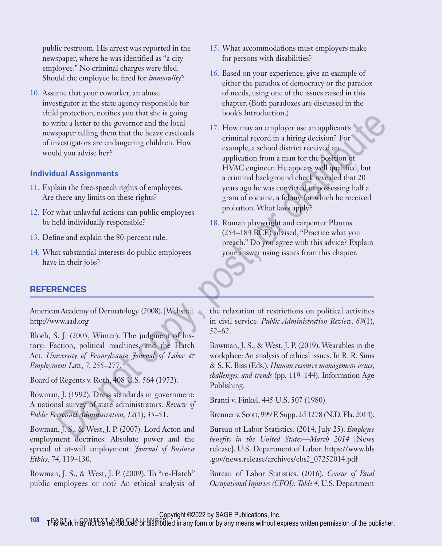public restroom. His arrest was reported in the newspaper, where he was identified as "a city employee." No criminal charges were filed. Should the employee be fired for *immorality*?

10. Assume that your coworker, an abuse investigator at the state agency responsible for child protection, notifies you that she is going to write a letter to the governor and the local newspaper telling them that the heavy caseloads of investigators are endangering children. How would you advise her?

#### **Individual Assignments**

- 11. Explain the free-speech rights of employees. Are there any limits on these rights?
- 12. For what unlawful actions can public employees be held individually responsible?
- 13. Define and explain the 80-percent rule.
- 14. What substantial interests do public employees have in their jobs?
- 15. What accommodations must employers make for persons with disabilities?
- 16. Based on your experience, give an example of either the paradox of democracy or the paradox of needs, using one of the issues raised in this chapter. (Both paradoxes are discussed in the book's Introduction.)
- 17. How may an employer use an applicant's criminal record in a hiring decision? For example, a school district received an application from a man for the position of HVAC engineer. He appears well qualified, but a criminal background check revealed that 20 years ago he was convicted of possessing half a gram of cocaine, a felony for which he received probation. What laws apply? potentially denoted in the space of the space of the space of the space of the space of the bear of the bear of the bear of the bear of the bear of the bear of the bear of the bear of the bear of the bear of the bear of t
	- 18. Roman playwright and carpenter Plautus (254–184 BCE) advised, "Practice what you preach." Do you agree with this advice? Explain your answer using issues from this chapter.

## **REFERENCES**

American Academy of Dermatology. (2008). [Website]. http://www.aad.org

Bloch, S. J. (2005, Winter). The judgment of history: Faction, political machines, and the Hatch Act. *University of Pennsylvania Journal of Labor & Employment Law, 7*, 255–277.

Board of Regents v. Roth, 408 U.S. 564 (1972).

Bowman, J. (1992). Dress standards in government: A national survey of state administrators. *Review of Public Personnel Administration, 12*(1), 35–51.

Bowman, J. S., & West, J. P. (2007). Lord Acton and employment doctrines: Absolute power and the spread of at-will employment. *Journal of Business Ethics, 74*, 119–130.

Bowman, J. S., & West, J. P. (2009). To "re-Hatch" public employees or not? An ethical analysis of the relaxation of restrictions on political activities in civil service. *Public Administration Review, 69*(1), 52–62.

Bowman, J. S., & West, J. P. (2019). Wearables in the workplace: An analysis of ethical issues. In R. R. Sims & S. K. Bias (Eds.), *Human resource management issues, challenges, and trends* (pp. 119–144). Information Age Publishing.

Branti v. Finkel, 445 U.S. 507 (1980).

Brenner v. Scott, 999 F. Supp. 2d 1278 (N.D. Fla. 2014).

Bureau of Labor Statistics. (2014, July 25). *Employee benefits in the United States—March 2014* [News release]. U.S. Department of Labor. https://www.bls .gov/news.release/archives/ebs2\_07252014.pdf

Bureau of Labor Statistics. (2016). *Census of Fatal Occupational Injuries (CFOI): Table 4*. U.S. Department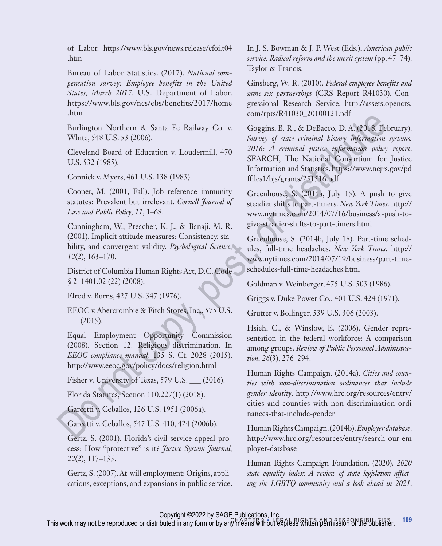of Labor. https://www.bls.gov/news.release/cfoi.t04 .htm

Bureau of Labor Statistics. (2017). *National compensation survey: Employee benefits in the United States, March 2017*. U.S. Department of Labor. https://www.bls.gov/ncs/ebs/benefits/2017/home .htm

Burlington Northern & Santa Fe Railway Co. v. White, 548 U.S. 53 (2006).

Cleveland Board of Education v. Loudermill, 470 U.S. 532 (1985).

Connick v. Myers, 461 U.S. 138 (1983).

Cooper, M. (2001, Fall). Job reference immunity statutes: Prevalent but irrelevant. *Cornell Journal of Law and Public Policy, 11*, 1–68.

Cunningham, W., Preacher, K. J., & Banaji, M. R. (2001). Implicit attitude measures: Consistency, stability, and convergent validity. *Psychological Science, 12*(2), 163–170.

District of Columbia Human Rights Act, D.C. Code § 2–1401.02 (22) (2008).

Elrod v. Burns, 427 U.S. 347 (1976).

EEOC v. Abercrombie & Fitch Stores, Inc., 575 U.S.  $(2015).$ 

Equal Employment Opportunity Commission (2008). Section 12: Religious discrimination. In *EEOC compliance manual*. 135 S. Ct. 2028 (2015). http://www.eeoc.gov/policy/docs/religion.html

Fisher v. University of Texas, 579 U.S. \_\_ (2016).

Florida Statutes, Section 110.227(1) (2018).

Garcetti v. Ceballos, 126 U.S. 1951 (2006a).

Garcetti v. Ceballos, 547 U.S. 410, 424 (2006b).

Gertz, S. (2001). Florida's civil service appeal process: How "protective" is it? *Justice System Journal, 22*(2), 117–135.

Gertz, S. (2007). At-will employment: Origins, applications, exceptions, and expansions in public service.

In J. S. Bowman & J. P. West (Eds.), *American public service: Radical reform and the merit system* (pp. 47–74). Taylor & Francis.

Ginsberg, W. R. (2010). *Federal employee benefits and same-sex partnerships* (CRS Report R41030). Congressional Research Service. http://assets.opencrs. com/rpts/R41030\_20100121.pdf

Goggins, B. R., & DeBacco, D. A. (2018, February). *Survey of state criminal history information systems, 2016: A criminal justice information policy report*. SEARCH, The National Consortium for Justice Information and Statistics. https://www.ncjrs.gov/pd ffiles1/bjs/grants/251516.pdf The United States of the United States (2008).<br>
The EV of the States of Consideration of London: London: States and States (2008). At 2018, Eq. White, 548 U.S. 53 (2006).<br>
United States of Education v. London: The States

Greenhouse, S. (2014a, July 15). A push to give steadier shifts to part-timers. *New York Times*. http:// www.nytimes.com/2014/07/16/business/a-push-togive-steadier-shifts-to-part-timers.html

Greenhouse, S. (2014b, July 18). Part-time schedules, full-time headaches. *New York Times*. http:// www.nytimes.com/2014/07/19/business/part-timeschedules-full-time-headaches.html

Goldman v. Weinberger, 475 U.S. 503 (1986).

Griggs v. Duke Power Co., 401 U.S. 424 (1971).

Grutter v. Bollinger, 539 U.S. 306 (2003).

Hsieh, C., & Winslow, E. (2006). Gender representation in the federal workforce: A comparison among groups. *Review of Public Personnel Administration, 26*(3), 276–294.

Human Rights Campaign. (2014a). *Cities and counties with non-discrimination ordinances that include gender identity*. http://www.hrc.org/resources/entry/ cities-and-counties-with-non-discrimination-ordi nances-that-include-gender

Human Rights Campaign. (2014b). *Employer database*. http://www.hrc.org/resources/entry/search-our-em ployer-database

Human Rights Campaign Foundation. (2020). *2020 state equality index: A review of state legislation affecting the LGBTQ community and a look ahead in 2021*.